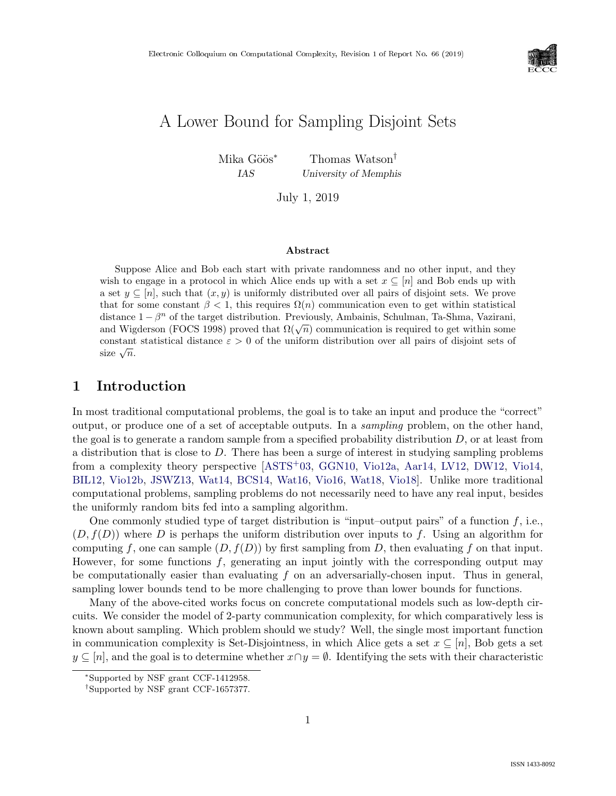

# A Lower Bound for Sampling Disjoint Sets

Mika Göös<sup>∗</sup> Thomas Watson<sup>†</sup>

IAS University of Memphis

July 1, 2019

#### Abstract

Suppose Alice and Bob each start with private randomness and no other input, and they wish to engage in a protocol in which Alice ends up with a set  $x \subseteq [n]$  and Bob ends up with a set  $y \subseteq [n]$ , such that  $(x, y)$  is uniformly distributed over all pairs of disjoint sets. We prove that for some constant  $\beta < 1$ , this requires  $\Omega(n)$  communication even to get within statistical distance  $1 - \beta^n$  of the target distribution. Previously, Ambainis, Schulman, Ta-Shma, Vazirani, distance  $1 - \rho$  of the target distribution. Freviously, Almoanns, Schuman, Ta-Silina, Vaziram, and Wigderson (FOCS 1998) proved that  $\Omega(\sqrt{n})$  communication is required to get within some constant statistical distance  $\varepsilon > 0$  of the uniform distribution over all pairs of disjoint sets of constant ${\rm size\ }\sqrt{n}.$ 

## 1 Introduction

In most traditional computational problems, the goal is to take an input and produce the "correct" output, or produce one of a set of acceptable outputs. In a sampling problem, on the other hand, the goal is to generate a random sample from a specified probability distribution  $D$ , or at least from a distribution that is close to D. There has been a surge of interest in studying sampling problems from a complexity theory perspective [\[ASTS](#page--1-0)+03, [GGN10,](#page--1-1) [Vio12a,](#page--1-2) [Aar14,](#page--1-3) [LV12,](#page--1-0) [DW12,](#page--1-4) [Vio14,](#page--1-5) [BIL12,](#page--1-6) [Vio12b,](#page--1-7) [JSWZ13,](#page--1-8) [Wat14,](#page--1-9) [BCS14,](#page--1-10) [Wat16,](#page--1-11) [Vio16,](#page--1-12) [Wat18,](#page--1-13) [Vio18\]](#page--1-14). Unlike more traditional computational problems, sampling problems do not necessarily need to have any real input, besides the uniformly random bits fed into a sampling algorithm.

One commonly studied type of target distribution is "input-output pairs" of a function  $f$ , i.e.,  $(D, f(D))$  where D is perhaps the uniform distribution over inputs to f. Using an algorithm for computing f, one can sample  $(D, f(D))$  by first sampling from D, then evaluating f on that input. However, for some functions  $f$ , generating an input jointly with the corresponding output may be computationally easier than evaluating  $f$  on an adversarially-chosen input. Thus in general, sampling lower bounds tend to be more challenging to prove than lower bounds for functions.

Many of the above-cited works focus on concrete computational models such as low-depth circuits. We consider the model of 2-party communication complexity, for which comparatively less is known about sampling. Which problem should we study? Well, the single most important function in communication complexity is Set-Disjointness, in which Alice gets a set  $x \subseteq [n]$ , Bob gets a set  $y \subseteq [n]$ , and the goal is to determine whether  $x \cap y = \emptyset$ . Identifying the sets with their characteristic

<sup>∗</sup>Supported by NSF grant CCF-1412958.

<sup>†</sup>Supported by NSF grant CCF-1657377.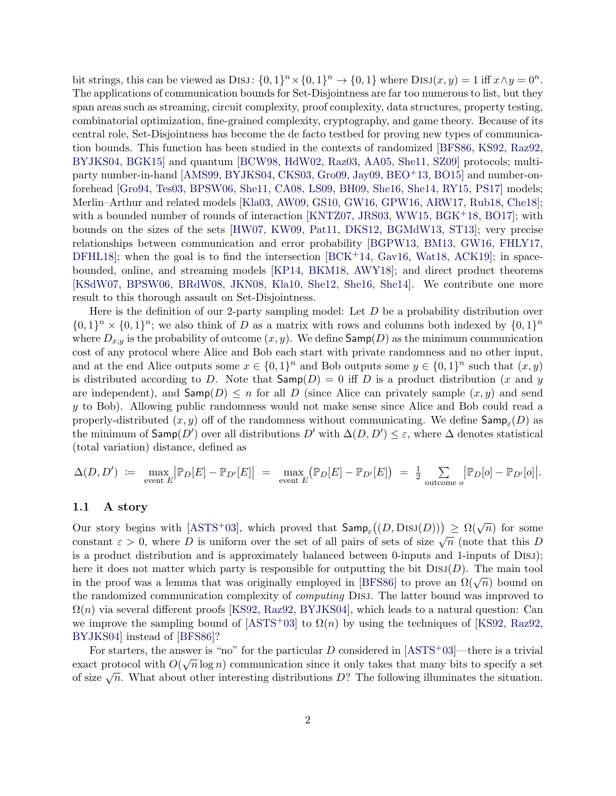bit strings, this can be viewed as DISJ:  $\{0,1\}^n \times \{0,1\}^n \to \{0,1\}$  where  $\text{DISJ}(x,y) = 1$  iff  $x \wedge y = 0^n$ . The applications of communication bounds for Set-Disjointness are far too numerous to list, but they span areas such as streaming, circuit complexity, proof complexity, data structures, property testing, combinatorial optimization, fine-grained complexity, cryptography, and game theory. Because of its central role, Set-Disjointness has become the de facto testbed for proving new types of communication bounds. This function has been studied in the contexts of randomized [\[BFS86,](#page-16-0) [KS92,](#page-20-0) [Raz92,](#page-21-0) [BYJKS04,](#page-17-0) [BGK15\]](#page-16-1) and quantum [\[BCW98,](#page-16-2) [HdW02,](#page-19-0) [Raz03,](#page-21-1) [AA05,](#page-15-0) [She11,](#page-21-2) [SZ09\]](#page-21-3) protocols; multiparty number-in-hand [\[AMS99,](#page-15-1) [BYJKS04,](#page-17-0) [CKS03,](#page-18-0) [Gro09,](#page-19-1) [Jay09,](#page-19-2) [BEO](#page-16-3)+13, [BO15\]](#page-17-1) and number-onforehead [\[Gro94,](#page-19-3) [Tes03,](#page-21-4) [BPSW06,](#page-17-2) [She11,](#page-21-2) [CA08,](#page-18-1) [LS09,](#page-21-5) [BH09,](#page-17-3) [She16,](#page-21-6) [She14,](#page-21-7) [RY15,](#page-21-8) [PS17\]](#page-21-9) models; Merlin–Arthur and related models [\[Kla03,](#page-20-1) [AW09,](#page-16-4) [GS10,](#page-19-4) [GW16,](#page-19-5) [GPW16,](#page-19-6) [ARW17,](#page-16-5) [Rub18,](#page-21-10) [Che18\]](#page-18-2); with a bounded number of rounds of interaction  $[KNTZ07, JRS03, WW15, BGK<sup>+</sup>18, BO17]$  $[KNTZ07, JRS03, WW15, BGK<sup>+</sup>18, BO17]$  $[KNTZ07, JRS03, WW15, BGK<sup>+</sup>18, BO17]$  $[KNTZ07, JRS03, WW15, BGK<sup>+</sup>18, BO17]$  $[KNTZ07, JRS03, WW15, BGK<sup>+</sup>18, BO17]$  $[KNTZ07, JRS03, WW15, BGK<sup>+</sup>18, BO17]$  $[KNTZ07, JRS03, WW15, BGK<sup>+</sup>18, BO17]$  $[KNTZ07, JRS03, WW15, BGK<sup>+</sup>18, BO17]$  $[KNTZ07, JRS03, WW15, BGK<sup>+</sup>18, BO17]$ ; with bounds on the sizes of the sets [\[HW07,](#page-19-7) [KW09,](#page-20-4) [Pat11,](#page-21-11) [DKS12,](#page-18-3) [BGMdW13,](#page-17-5) [ST13\]](#page-21-12); very precise relationships between communication and error probability [\[BGPW13,](#page-17-6) [BM13,](#page-17-7) [GW16,](#page-19-5) [FHLY17,](#page-18-4) [DFHL18\]](#page-18-5); when the goal is to find the intersection  $[BCK<sup>+</sup>14, Gav16, Wat18, ACK19]$  $[BCK<sup>+</sup>14, Gav16, Wat18, ACK19]$  $[BCK<sup>+</sup>14, Gav16, Wat18, ACK19]$  $[BCK<sup>+</sup>14, Gav16, Wat18, ACK19]$  $[BCK<sup>+</sup>14, Gav16, Wat18, ACK19]$  $[BCK<sup>+</sup>14, Gav16, Wat18, ACK19]$  $[BCK<sup>+</sup>14, Gav16, Wat18, ACK19]$ ; in spacebounded, online, and streaming models [\[KP14,](#page-20-5) [BKM18,](#page-17-8) [AWY18\]](#page-16-8); and direct product theorems [\[KSdW07,](#page-20-6) [BPSW06,](#page-17-2) [BRdW08,](#page-17-9) [JKN08,](#page-19-8) [Kla10,](#page-20-7) [She12,](#page-21-13) [She16,](#page-21-6) [She14\]](#page-21-7). We contribute one more result to this thorough assault on Set-Disjointness.

Here is the definition of our 2-party sampling model: Let  $D$  be a probability distribution over  $\{0,1\}^n \times \{0,1\}^n$ ; we also think of D as a matrix with rows and columns both indexed by  $\{0,1\}^n$ where  $D_{x,y}$  is the probability of outcome  $(x, y)$ . We define  $\mathsf{Samp}(D)$  as the minimum communication cost of any protocol where Alice and Bob each start with private randomness and no other input, and at the end Alice outputs some  $x \in \{0,1\}^n$  and Bob outputs some  $y \in \{0,1\}^n$  such that  $(x, y)$ is distributed according to D. Note that  $\textsf{Samp}(D) = 0$  iff D is a product distribution (x and y are independent), and  $\mathsf{Samp}(D) \leq n$  for all D (since Alice can privately sample  $(x, y)$  and send y to Bob). Allowing public randomness would not make sense since Alice and Bob could read a properly-distributed  $(x, y)$  off of the randomness without communicating. We define  $\mathsf{Samp}_\varepsilon(D)$  as the minimum of  $\mathsf{Samp}(D')$  over all distributions D' with  $\Delta(D, D') \leq \varepsilon$ , where  $\Delta$  denotes statistical (total variation) distance, defined as

$$
\Delta(D, D') \coloneqq \max_{\text{event } E} \left| \mathbb{P}_D[E] - \mathbb{P}_{D'}[E] \right| = \max_{\text{event } E} \left( \mathbb{P}_D[E] - \mathbb{P}_{D'}[E] \right) = \frac{1}{2} \sum_{\text{outcome } o} \left| \mathbb{P}_D[o] - \mathbb{P}_{D'}[o] \right|.
$$

#### 1.1 A story

Our story begins with [\[ASTS](#page-16-9)<sup>+</sup>03], which proved that  $\mathsf{Samp}_\varepsilon((D, \mathrm{DisJ}(D))) \ge \Omega(\sqrt{n})$  for some constant  $\varepsilon > 0$ , where D is uniform over the set of all pairs of sets of size  $\sqrt{n}$  (note that this D) is a product distribution and is approximately balanced between 0-inputs and 1-inputs of Disj); here it does not matter which party is responsible for outputting the bit  $DisJ(D)$ . The main tool in the proof was a lemma that was originally employed in [\[BFS86\]](#page-16-0) to prove an  $\Omega(\sqrt{n})$  bound on the randomized communication complexity of computing Disj. The latter bound was improved to  $\Omega(n)$  via several different proofs [\[KS92,](#page-20-0) [Raz92,](#page-21-0) [BYJKS04\]](#page-17-0), which leads to a natural question: Can we improve the sampling bound of [\[ASTS](#page-16-9)+03] to  $\Omega(n)$  by using the techniques of [\[KS92,](#page-20-0) [Raz92,](#page-21-0) [BYJKS04\]](#page-17-0) instead of [\[BFS86\]](#page-16-0)?

For starters, the answer is "no" for the particular D considered in  $[ASTS<sup>+</sup>03]$  $[ASTS<sup>+</sup>03]$ —there is a trivial exact protocol with  $O(\sqrt{n}\log n)$  communication since it only takes that many bits to specify a set exact protocol with  $O(\sqrt{n} \log n)$  communication since it only takes that many bits to specify a set of size  $\sqrt{n}$ . What about other interesting distributions D? The following illuminates the situation.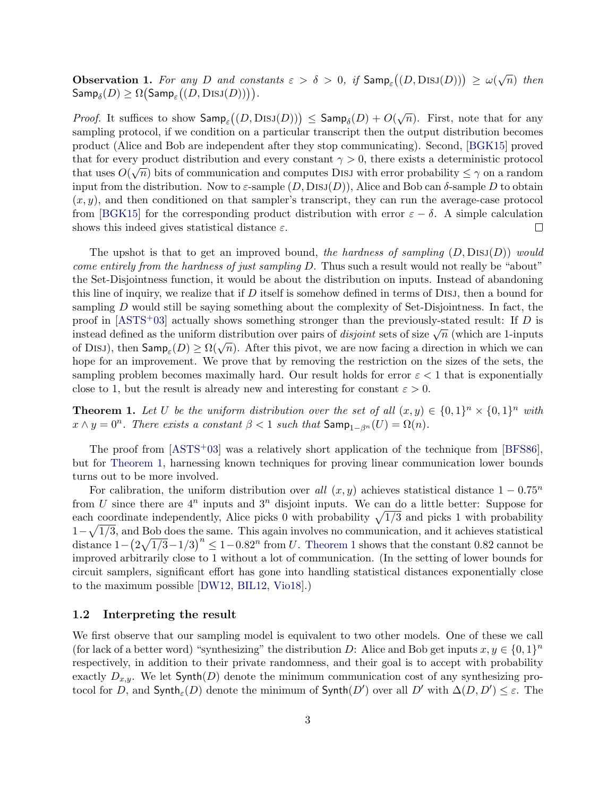**Observation 1.** For any D and constants  $\varepsilon > \delta > 0$ , if  $\textsf{Samp}_{\varepsilon}((D, \text{DisJ}(D))) \ge \omega(\sqrt{n})$  then  $\mathsf{Samp}_\delta(D) \ge \Omega\big(\mathsf{Samp}_\varepsilon\big((D, \mathrm{DisJ}(D))\big)\big).$ 

*Proof.* It suffices to show  $\mathsf{Samp}_\varepsilon((D, \mathrm{DisJ}(D))) \leq \mathsf{Samp}_\delta(D) + O(\sqrt{n})$ . First, note that for any sampling protocol, if we condition on a particular transcript then the output distribution becomes product (Alice and Bob are independent after they stop communicating). Second, [\[BGK15\]](#page-16-1) proved that for every product distribution and every constant  $\gamma > 0$ , there exists a deterministic protocol that uses  $O(\sqrt{n})$  bits of communication and computes DISJ with error probability  $\leq \gamma$  on a random input from the distribution. Now to  $\varepsilon$ -sample  $(D, \text{DisJ}(D))$ , Alice and Bob can  $\delta$ -sample D to obtain  $(x, y)$ , and then conditioned on that sampler's transcript, they can run the average-case protocol from [\[BGK15\]](#page-16-1) for the corresponding product distribution with error  $\varepsilon - \delta$ . A simple calculation shows this indeed gives statistical distance  $\varepsilon$ .  $\Box$ 

The upshot is that to get an improved bound, the hardness of sampling  $(D, \text{DISJ}(D))$  would come entirely from the hardness of just sampling D. Thus such a result would not really be "about" the Set-Disjointness function, it would be about the distribution on inputs. Instead of abandoning this line of inquiry, we realize that if  $D$  itself is somehow defined in terms of DISJ, then a bound for sampling D would still be saying something about the complexity of Set-Disjointness. In fact, the proof in  $[ASTS<sup>+</sup>03]$  $[ASTS<sup>+</sup>03]$  actually shows something stronger than the previously-stated result: If D is proof in [ASTS 05] actually shows something stronger than the previously-stated result. If D is<br>instead defined as the uniform distribution over pairs of *disjoint* sets of size  $\sqrt{n}$  (which are 1-inputs of Disj), then  $\textsf{Samp}_\varepsilon(D) \ge \Omega(\sqrt{n})$ . After this pivot, we are now facing a direction in which we can hope for an improvement. We prove that by removing the restriction on the sizes of the sets, the sampling problem becomes maximally hard. Our result holds for error  $\varepsilon < 1$  that is exponentially close to 1, but the result is already new and interesting for constant  $\varepsilon > 0$ .

<span id="page-2-0"></span>**Theorem 1.** Let U be the uniform distribution over the set of all  $(x, y) \in \{0, 1\}^n \times \{0, 1\}^n$  with  $x \wedge y = 0^n$ . There exists a constant  $\beta < 1$  such that  $\mathsf{Samp}_{1-\beta^n}(U) = \Omega(n)$ .

The proof from [\[ASTS](#page-16-9)+03] was a relatively short application of the technique from [\[BFS86\]](#page-16-0), but for [Theorem 1,](#page-2-0) harnessing known techniques for proving linear communication lower bounds turns out to be more involved.

For calibration, the uniform distribution over all  $(x, y)$  achieves statistical distance  $1 - 0.75<sup>n</sup>$ from U since there are  $4^n$  inputs and  $3^n$  disjoint inputs. We can do a little better: Suppose for each coordinate independently, Alice picks 0 with probability  $\sqrt{1/3}$  and picks 1 with probability  $1-\sqrt{1/3}$ , and Bob does the same. This again involves no communication, and it achieves statistical distance  $1-(2\sqrt{1/3}-1/3)^n \leq 1-0.82^n$  from U. [Theorem 1](#page-2-0) shows that the constant 0.82 cannot be improved arbitrarily close to 1 without a lot of communication. (In the setting of lower bounds for circuit samplers, significant effort has gone into handling statistical distances exponentially close to the maximum possible [\[DW12,](#page-18-7) [BIL12,](#page-17-10) [Vio18\]](#page--1-14).)

#### 1.2 Interpreting the result

We first observe that our sampling model is equivalent to two other models. One of these we call (for lack of a better word) "synthesizing" the distribution D: Alice and Bob get inputs  $x, y \in \{0, 1\}^n$ respectively, in addition to their private randomness, and their goal is to accept with probability exactly  $D_{x,y}$ . We let Synth(D) denote the minimum communication cost of any synthesizing protocol for D, and  $\mathsf{Synth}_{\varepsilon}(D)$  denote the minimum of  $\mathsf{Synth}(D')$  over all  $D'$  with  $\Delta(D, D') \leq \varepsilon$ . The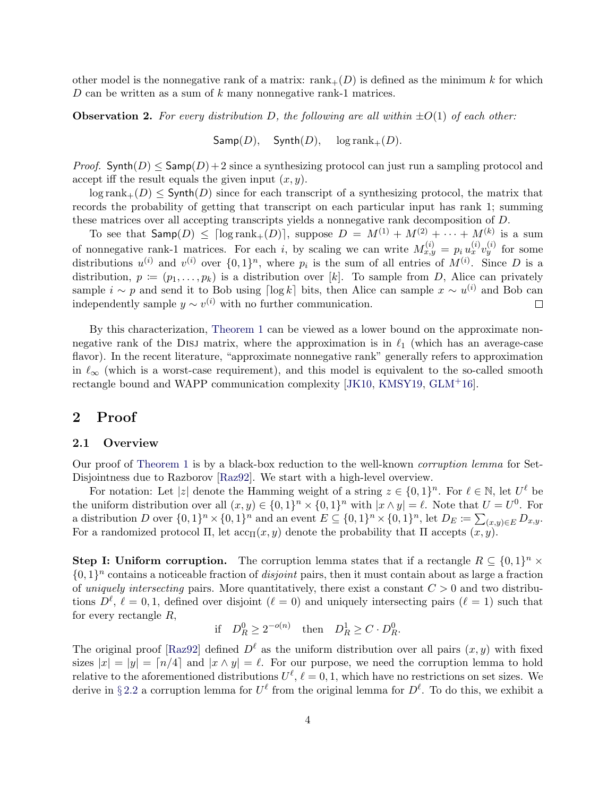other model is the nonnegative rank of a matrix:  $rank_{+}(D)$  is defined as the minimum k for which  $D$  can be written as a sum of  $k$  many nonnegative rank-1 matrices.

<span id="page-3-0"></span>**Observation 2.** For every distribution D, the following are all within  $\pm O(1)$  of each other:

 $\mathsf{Samp}(D)$ ,  $\mathsf{Synth}(D)$ ,  $\log \text{rank}_{+}(D)$ .

*Proof.* Synth(D)  $\leq$  Samp(D) + 2 since a synthesizing protocol can just run a sampling protocol and accept iff the result equals the given input  $(x, y)$ .

 $\log \text{rank}_{+}(D) \leq \text{Synth}(D)$  since for each transcript of a synthesizing protocol, the matrix that records the probability of getting that transcript on each particular input has rank 1; summing these matrices over all accepting transcripts yields a nonnegative rank decomposition of D.

To see that  $\mathsf{Samp}(D) \leq \lceil \log \text{rank}_+(D) \rceil$ , suppose  $D = M^{(1)} + M^{(2)} + \cdots + M^{(k)}$  is a sum of nonnegative rank-1 matrices. For each i, by scaling we can write  $M_{x,y}^{(i)} = p_i u_x^{(i)} v_y^{(i)}$  for some distributions  $u^{(i)}$  and  $v^{(i)}$  over  $\{0,1\}^n$ , where  $p_i$  is the sum of all entries of  $M^{(i)}$ . Since D is a distribution,  $p := (p_1, \ldots, p_k)$  is a distribution over [k]. To sample from D, Alice can privately sample  $i \sim p$  and send it to Bob using  $\lceil \log k \rceil$  bits, then Alice can sample  $x \sim u^{(i)}$  and Bob can independently sample  $y \sim v^{(i)}$  with no further communication.  $\Box$ 

By this characterization, [Theorem 1](#page-2-0) can be viewed as a lower bound on the approximate nonnegative rank of the DISJ matrix, where the approximation is in  $\ell_1$  (which has an average-case flavor). In the recent literature, "approximate nonnegative rank" generally refers to approximation in  $\ell_{\infty}$  (which is a worst-case requirement), and this model is equivalent to the so-called smooth rectangle bound and WAPP communication complexity [\[JK10,](#page-19-9) [KMSY19,](#page-20-8) [GLM](#page-19-10)+16].

## 2 Proof

#### 2.1 Overview

Our proof of [Theorem 1](#page-2-0) is by a black-box reduction to the well-known corruption lemma for Set-Disjointness due to Razborov [\[Raz92\]](#page-21-0). We start with a high-level overview.

For notation: Let |z| denote the Hamming weight of a string  $z \in \{0,1\}^n$ . For  $\ell \in \mathbb{N}$ , let  $U^{\ell}$  be the uniform distribution over all  $(x, y) \in \{0, 1\}^n \times \{0, 1\}^n$  with  $|x \wedge y| = \ell$ . Note that  $U = U^0$ . For a distribution D over  $\{0,1\}^n \times \{0,1\}^n$  and an event  $E \subseteq \{0,1\}^n \times \{0,1\}^n$ , let  $D_E := \sum_{(x,y) \in E} D_{x,y}$ . For a randomized protocol  $\Pi$ , let  $\operatorname{acc}_{\Pi}(x, y)$  denote the probability that  $\Pi$  accepts  $(x, y)$ .

Step I: Uniform corruption. The corruption lemma states that if a rectangle  $R \subseteq \{0,1\}^n \times$  $\{0,1\}^n$  contains a noticeable fraction of *disjoint* pairs, then it must contain about as large a fraction of uniquely intersecting pairs. More quantitatively, there exist a constant  $C > 0$  and two distributions  $D^{\ell}, \ell = 0, 1$ , defined over disjoint  $(\ell = 0)$  and uniquely intersecting pairs  $(\ell = 1)$  such that for every rectangle R,

$$
\text{if} \quad D_R^0 \ge 2^{-o(n)} \quad \text{then} \quad D_R^1 \ge C \cdot D_R^0.
$$

The original proof [\[Raz92\]](#page-21-0) defined  $D^{\ell}$  as the uniform distribution over all pairs  $(x, y)$  with fixed sizes  $|x| = |y| = [n/4]$  and  $|x \wedge y| = \ell$ . For our purpose, we need the corruption lemma to hold relative to the aforementioned distributions  $U^{\ell}$ ,  $\ell = 0, 1$ , which have no restrictions on set sizes. We derive in §[2.2](#page-5-0) a corruption lemma for  $U^{\ell}$  from the original lemma for  $D^{\ell}$ . To do this, we exhibit a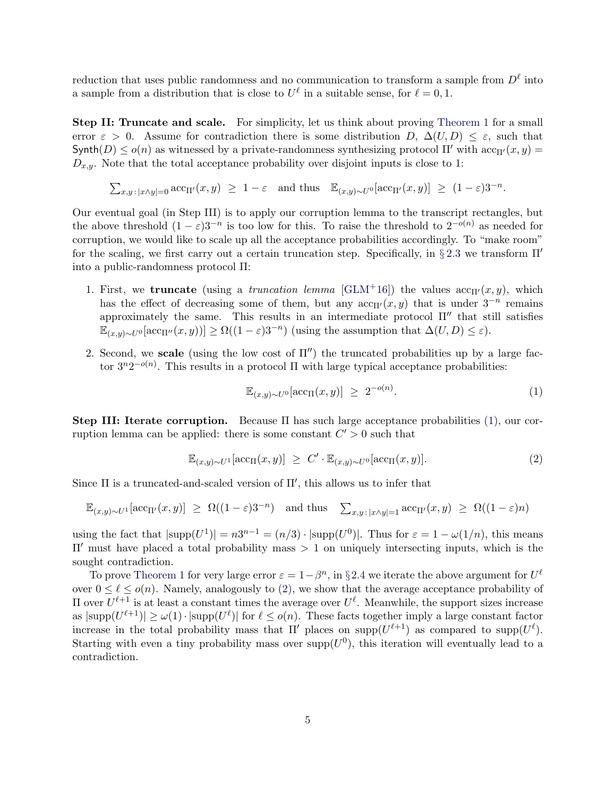reduction that uses public randomness and no communication to transform a sample from  $D^{\ell}$  into a sample from a distribution that is close to  $U^{\ell}$  in a suitable sense, for  $\ell = 0, 1$ .

Step II: Truncate and scale. For simplicity, let us think about proving [Theorem 1](#page-2-0) for a small error  $\varepsilon > 0$ . Assume for contradiction there is some distribution  $D, \Delta(U, D) \leq \varepsilon$ , such that Synth(D)  $\leq o(n)$  as witnessed by a private-randomness synthesizing protocol  $\Pi'$  with  $\mathrm{acc}_{\Pi'}(x, y)$  =  $D_{x,y}$ . Note that the total acceptance probability over disjoint inputs is close to 1:

 $\sum_{x,y \,:\, |x \wedge y|=0} \text{acc}_{\Pi'}(x,y) \geq 1-\varepsilon$  and thus  $\mathbb{E}_{(x,y) \sim U^0}[\text{acc}_{\Pi'}(x,y)] \geq (1-\varepsilon)3^{-n}$ .

Our eventual goal (in Step III) is to apply our corruption lemma to the transcript rectangles, but the above threshold  $(1 - \varepsilon)3^{-n}$  is too low for this. To raise the threshold to  $2^{-o(n)}$  as needed for corruption, we would like to scale up all the acceptance probabilities accordingly. To "make room" for the scaling, we first carry out a certain truncation step. Specifically, in § [2.3](#page-6-0) we transform  $\Pi'$ into a public-randomness protocol Π:

- 1. First, we **truncate** (using a *truncation lemma* [\[GLM](#page-19-10)<sup>+</sup>16]) the values  $\operatorname{acc}_{\Pi'}(x, y)$ , which has the effect of decreasing some of them, but any  $\mathrm{acc}_{\Pi'}(x, y)$  that is under  $3^{-n}$  remains approximately the same. This results in an intermediate protocol  $\Pi''$  that still satisfies  $\mathbb{E}_{(x,y)\sim U^{0}}[\text{acc}_{\Pi''}(x,y))] \geq \Omega((1-\varepsilon)3^{-n})$  (using the assumption that  $\Delta(U,D) \leq \varepsilon$ ).
- 2. Second, we scale (using the low cost of  $\Pi''$ ) the truncated probabilities up by a large factor  $3^n 2^{-o(n)}$ . This results in a protocol  $\Pi$  with large typical acceptance probabilities:

<span id="page-4-1"></span><span id="page-4-0"></span>
$$
\mathbb{E}_{(x,y)\sim U^0}[\text{acc}_{\Pi}(x,y)] \ge 2^{-o(n)}.\tag{1}
$$

Step III: Iterate corruption. Because Π has such large acceptance probabilities [\(1\),](#page-4-0) our corruption lemma can be applied: there is some constant  $C' > 0$  such that

$$
\mathbb{E}_{(x,y)\sim U^{1}}[\text{acc}_{\Pi}(x,y)] \geq C' \cdot \mathbb{E}_{(x,y)\sim U^{0}}[\text{acc}_{\Pi}(x,y)]. \tag{2}
$$

Since  $\Pi$  is a truncated-and-scaled version of  $\Pi'$ , this allows us to infer that

$$
\mathbb{E}_{(x,y)\sim U^{1}}[\text{acc}_{\Pi'}(x,y)] \geq \Omega((1-\varepsilon)3^{-n}) \text{ and thus } \sum_{x,y\,:\,|x\wedge y|=1} \text{acc}_{\Pi'}(x,y) \geq \Omega((1-\varepsilon)n)
$$

using the fact that  $|\text{supp}(U^1)| = n3^{n-1} = (n/3) \cdot |\text{supp}(U^0)|$ . Thus for  $\varepsilon = 1 - \omega(1/n)$ , this means  $\Pi'$  must have placed a total probability mass  $> 1$  on uniquely intersecting inputs, which is the sought contradiction.

To prove [Theorem 1](#page-2-0) for very large error  $\varepsilon = 1 - \beta^n$ , in §[2.4](#page-7-0) we iterate the above argument for  $U^{\ell}$ over  $0 \leq \ell \leq o(n)$ . Namely, analogously to [\(2\),](#page-4-1) we show that the average acceptance probability of Π over  $U^{\ell+1}$  is at least a constant times the average over  $U^{\ell}$ . Meanwhile, the support sizes increase as  $|\text{supp}(U^{\ell+1})| \geq \omega(1) \cdot |\text{supp}(U^{\ell})|$  for  $\ell \leq o(n)$ . These facts together imply a large constant factor increase in the total probability mass that  $\Pi'$  places on supp $(U^{\ell+1})$  as compared to supp $(U^{\ell})$ . Starting with even a tiny probability mass over  $\text{supp}(U^0)$ , this iteration will eventually lead to a contradiction.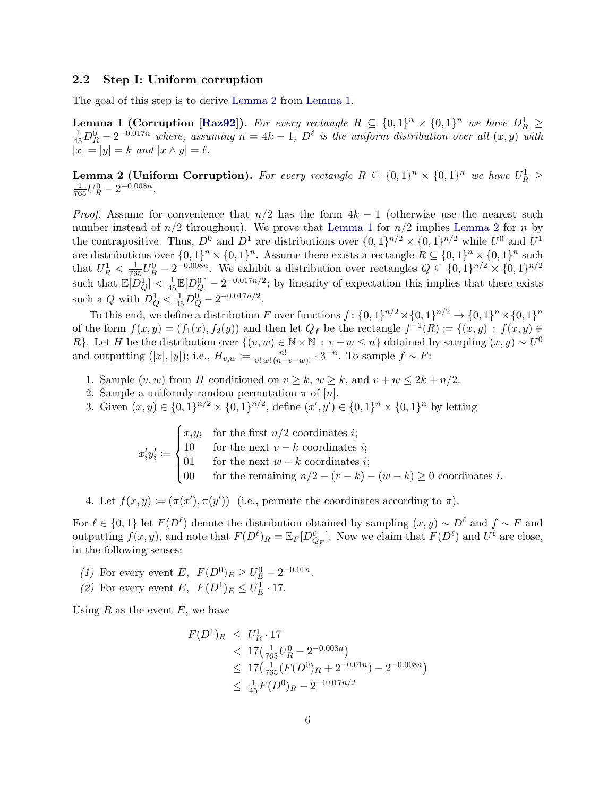## <span id="page-5-0"></span>2.2 Step I: Uniform corruption

<span id="page-5-2"></span>The goal of this step is to derive [Lemma 2](#page-5-1) from [Lemma 1.](#page-5-2)

**Lemma 1 (Corruption [\[Raz92\]](#page-21-0)).** For every rectangle  $R \subseteq \{0,1\}^n \times \{0,1\}^n$  we have  $D_R^1 \ge \frac{1}{45}D_R^0 - 2^{-0.017n}$  where, assuming  $n = 4k - 1$ ,  $D^{\ell}$  is the uniform distribution over all  $(x, y)$  with  $|x| = |y| = k$  and  $|x \wedge y| = \ell$ .

<span id="page-5-1"></span>**Lemma 2 (Uniform Corruption).** For every rectangle  $R \subseteq \{0,1\}^n \times \{0,1\}^n$  we have  $U_R^1 \geq$  $\frac{1}{765}U_R^0 - 2^{-0.008n}$ .

*Proof.* Assume for convenience that  $n/2$  has the form  $4k - 1$  (otherwise use the nearest such number instead of  $n/2$  throughout). We prove that [Lemma 1](#page-5-2) for  $n/2$  implies [Lemma 2](#page-5-1) for n by the contrapositive. Thus,  $D^0$  and  $D^1$  are distributions over  $\{0,1\}^{n/2} \times \{0,1\}^{n/2}$  while  $U^0$  and  $U^1$ are distributions over  $\{0,1\}^n \times \{0,1\}^n$ . Assume there exists a rectangle  $R \subseteq \{0,1\}^n \times \{0,1\}^n$  such that  $U_R^1 < \frac{1}{765}U_R^0 - 2^{-0.008n}$ . We exhibit a distribution over rectangles  $Q \subseteq \{0,1\}^{n/2} \times \{0,1\}^{n/2}$ such that  $\mathbb{E}[D^1_Q] < \frac{1}{45} \mathbb{E}[D^0_Q] - 2^{-0.017n/2}$ ; by linearity of expectation this implies that there exists such a Q with  $D_Q^1 < \frac{1}{45}D_Q^0 - 2^{-0.017n/2}$ .

To this end, we define a distribution F over functions  $f: \{0,1\}^{n/2} \times \{0,1\}^{n/2} \to \{0,1\}^n \times \{0,1\}^n$ of the form  $f(x,y) = (f_1(x), f_2(y))$  and then let  $Q_f$  be the rectangle  $f^{-1}(R) := \{(x,y) : f(x,y) \in$ R}. Let H be the distribution over  $\{(v, w) \in \mathbb{N} \times \mathbb{N} : v + w \leq n\}$  obtained by sampling  $(x, y) \sim U^0$ and outputting  $(|x|, |y|)$ ; i.e.,  $H_{v,w} := \frac{n!}{v! \, w! \, (n-v-w)!} \cdot 3^{-n}$ . To sample  $f \sim F$ :

- 1. Sample  $(v, w)$  from H conditioned on  $v \geq k$ ,  $w \geq k$ , and  $v + w \leq 2k + n/2$ .
- 2. Sample a uniformly random permutation  $\pi$  of  $[n]$ .
- 3. Given  $(x, y) \in \{0, 1\}^{n/2} \times \{0, 1\}^{n/2}$ , define  $(x', y') \in \{0, 1\}^n \times \{0, 1\}^n$  by letting

 $x_i'y_i' \coloneqq$  $\sqrt{ }$  $\int$  $\overline{\mathcal{L}}$  $x_iy_i$  for the first  $n/2$  coordinates *i*; 10 for the next  $v - k$  coordinates *i*; 01 for the next  $w - k$  coordinates *i*; 00 for the remaining  $n/2 - (v - k) - (w - k) \ge 0$  coordinates *i*.

4. Let  $f(x, y) \coloneqq (\pi(x'), \pi(y'))$  (i.e., permute the coordinates according to  $\pi$ ).

For  $\ell \in \{0,1\}$  let  $F(D^{\ell})$  denote the distribution obtained by sampling  $(x, y) \sim D^{\ell}$  and  $f \sim F$  and outputting  $f(x, y)$ , and note that  $F(D^{\ell})_R = \mathbb{E}_F[D_{Q_F}^{\ell}]$ . Now we claim that  $F(D^{\ell})$  and  $U^{\ell}$  are close, in the following senses:

- (1) For every event E,  $F(D^0)_E \ge U_E^0 2^{-0.01n}$ .
- (2) For every event E,  $F(D^1)_E \le U_E^1 \cdot 17$ .

Using  $R$  as the event  $E$ , we have

$$
F(D^1)_R \le U_R^1 \cdot 17
$$
  

$$
< 17 \left( \frac{1}{765} U_R^0 - 2^{-0.008n} \right)
$$
  

$$
\le 17 \left( \frac{1}{765} (F(D^0)_R + 2^{-0.01n}) - 2^{-0.008n} \right)
$$
  

$$
\le \frac{1}{45} F(D^0)_R - 2^{-0.017n/2}
$$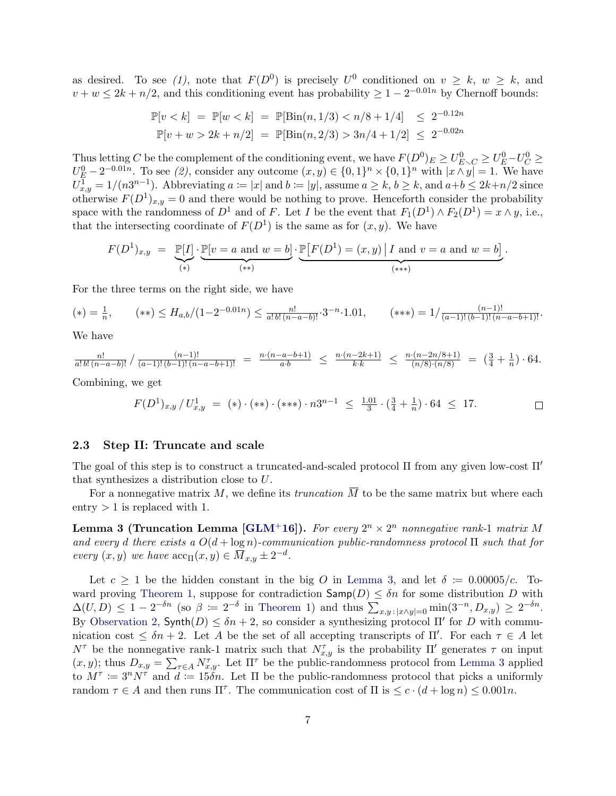as desired. To see (1), note that  $F(D^0)$  is precisely  $U^0$  conditioned on  $v \geq k$ ,  $w \geq k$ , and  $v + w \leq 2k + n/2$ , and this conditioning event has probability  $\geq 1 - 2^{-0.01n}$  by Chernoff bounds:

$$
\mathbb{P}[v < k] = \mathbb{P}[w < k] = \mathbb{P}[\text{Bin}(n, 1/3) < n/8 + 1/4] \le 2^{-0.12n}
$$
\n
$$
\mathbb{P}[v + w > 2k + n/2] = \mathbb{P}[\text{Bin}(n, 2/3) > 3n/4 + 1/2] \le 2^{-0.02n}
$$

Thus letting C be the complement of the conditioning event, we have  $F(D^0)_E \ge U_{E\setminus C}^0 \ge U_E^0-U_C^0 \ge$  $U_E^0 - 2^{-0.01n}$ . To see (2), consider any outcome  $(x, y) \in \{0, 1\}^n \times \{0, 1\}^n$  with  $|x \wedge y| = 1$ . We have  $U_{x,y}^{\overline{1}} = 1/(n3^{n-1})$ . Abbreviating  $a \coloneqq |x|$  and  $b \coloneqq |y|$ , assume  $a \geq k$ ,  $b \geq k$ , and  $a+b \leq 2k+n/2$  since otherwise  $F(D^1)_{x,y} = 0$  and there would be nothing to prove. Henceforth consider the probability space with the randomness of  $D^1$  and of F. Let I be the event that  $F_1(D^1) \wedge F_2(D^1) = x \wedge y$ , i.e., that the intersecting coordinate of  $F(D^1)$  is the same as for  $(x, y)$ . We have

$$
F(D^{1})_{x,y} = \underbrace{\mathbb{P}[I]}_{(*)} \cdot \underbrace{\mathbb{P}[v = a \text{ and } w = b]}_{(**)} \cdot \underbrace{\mathbb{P}[F(D^{1}) = (x,y) | I \text{ and } v = a \text{ and } w = b]}_{(***)}.
$$

For the three terms on the right side, we have

$$
(*) = \frac{1}{n}, \qquad (**) \leq H_{a,b}/(1-2^{-0.01n}) \leq \frac{n!}{a! \, b! \, (n-a-b)!} \cdot 3^{-n} \cdot 1.01, \qquad (***) = 1/\frac{(n-1)!}{(a-1)!(b-1)!(n-a-b+1)!}.
$$

We have

$$
\frac{n!}{a! \, b! \, (n-a-b)!} / \frac{(n-1)!}{(a-1)! \, (b-1)! \, (n-a-b+1)!} = \frac{n \cdot (n-a-b+1)}{a \cdot b} \le \frac{n \cdot (n-2k+1)}{k \cdot k} \le \frac{n \cdot (n-2n/8+1)}{(n/8) \cdot (n/8)} = \left(\frac{3}{4} + \frac{1}{n}\right) \cdot 64.
$$

Combining, we get

$$
F(D^{1})_{x,y}/U^{1}_{x,y} = (*) \cdot (**) \cdot (**) \cdot n3^{n-1} \le \frac{1.01}{3} \cdot (\frac{3}{4} + \frac{1}{n}) \cdot 64 \le 17.
$$

#### <span id="page-6-0"></span>2.3 Step II: Truncate and scale

The goal of this step is to construct a truncated-and-scaled protocol  $\Pi$  from any given low-cost  $\Pi'$ that synthesizes a distribution close to U.

For a nonnegative matrix M, we define its *truncation*  $\overline{M}$  to be the same matrix but where each entry  $> 1$  is replaced with 1.

<span id="page-6-1"></span>**Lemma 3 (Truncation Lemma [\[GLM](#page-19-10)<sup>+</sup>16]).** For every  $2^n \times 2^n$  nonnegative rank-1 matrix M and every d there exists a  $O(d + \log n)$ -communication public-randomness protocol  $\Pi$  such that for every  $(x, y)$  we have  $\mathrm{acc}_{\Pi}(x, y) \in \overline{M}_{x, y} \pm 2^{-d}$ .

<span id="page-6-2"></span>Let  $c \geq 1$  be the hidden constant in the big O in [Lemma 3,](#page-6-1) and let  $\delta := 0.00005/c$ . To-ward proving [Theorem 1,](#page-2-0) suppose for contradiction  $\mathsf{Samp}(D) \leq \delta n$  for some distribution D with  $\Delta(U,D) \leq 1 - 2^{-\delta n}$  (so  $\beta \coloneqq 2^{-\delta}$  in [Theorem 1\)](#page-2-0) and thus  $\sum_{x,y \colon |x \wedge y|=0} \min(3^{-n}, D_{x,y}) \geq 2^{-\delta n}$ . By [Observation 2,](#page-3-0)  $\text{Synth}(D) \leq \delta n + 2$ , so consider a synthesizing protocol  $\Pi'$  for D with communication cost  $\leq \delta n + 2$ . Let A be the set of all accepting transcripts of  $\Pi'$ . For each  $\tau \in A$  let  $N^{\tau}$  be the nonnegative rank-1 matrix such that  $N^{\tau}_{x,y}$  is the probability Π' generates  $\tau$  on input  $(x, y)$ ; thus  $D_{x,y} = \sum_{\tau \in A} N_{x,y}^{\tau}$ . Let  $\Pi^{\tau}$  be the public-randomness protocol from [Lemma 3](#page-6-1) applied to  $M^{\tau} := 3^{n} N^{\tau}$  and  $d := 15\tilde{\delta}n$ . Let  $\Pi$  be the public-randomness protocol that picks a uniformly random  $\tau \in A$  and then runs  $\Pi^{\tau}$ . The communication cost of  $\Pi$  is  $\leq c \cdot (d + \log n) \leq 0.001n$ .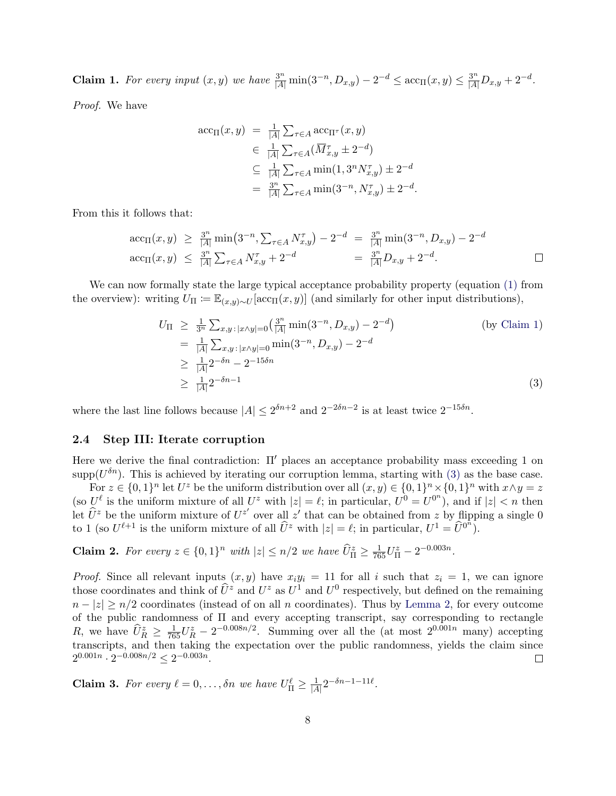**Claim 1.** For every input  $(x, y)$  we have  $\frac{3^n}{|A|} \min(3^{-n}, D_{x,y}) - 2^{-d} \leq \arccos(x, y) \leq \frac{3^n}{|A|} D_{x,y} + 2^{-d}$ .

Proof. We have

$$
\begin{aligned}\n\text{acc}_{\Pi}(x, y) &= \frac{1}{|A|} \sum_{\tau \in A} \text{acc}_{\Pi^{\tau}}(x, y) \\
&\in \frac{1}{|A|} \sum_{\tau \in A} (\overline{M}_{x, y}^{\tau} \pm 2^{-d}) \\
&\subseteq \frac{1}{|A|} \sum_{\tau \in A} \min(1, 3^{n} N_{x, y}^{\tau}) \pm 2^{-d} \\
&= \frac{3^{n}}{|A|} \sum_{\tau \in A} \min(3^{-n}, N_{x, y}^{\tau}) \pm 2^{-d}\n\end{aligned}
$$

From this it follows that:

$$
\begin{array}{rcl}\n\arccos(x,y) & \geq & \frac{3^n}{|A|} \min\left(3^{-n}, \sum_{\tau \in A} N_{x,y}^{\tau}\right) - 2^{-d} & = & \frac{3^n}{|A|} \min\left(3^{-n}, D_{x,y}\right) - 2^{-d} \\
\arccos(x,y) & \leq & \frac{3^n}{|A|} \sum_{\tau \in A} N_{x,y}^{\tau} + 2^{-d} & = & \frac{3^n}{|A|} D_{x,y} + 2^{-d}.\n\end{array}
$$

<span id="page-7-1"></span>.

We can now formally state the large typical acceptance probability property (equation [\(1\)](#page-4-0) from the overview): writing  $U_{\Pi} := \mathbb{E}_{(x,y)\sim U}[\text{acc}_{\Pi}(x,y)]$  (and similarly for other input distributions),

$$
U_{\Pi} \ge \frac{1}{3^n} \sum_{x,y \colon |x \wedge y| = 0} \left( \frac{3^n}{|A|} \min(3^{-n}, D_{x,y}) - 2^{-d} \right)
$$
  
\n
$$
= \frac{1}{|A|} \sum_{x,y \colon |x \wedge y| = 0} \min(3^{-n}, D_{x,y}) - 2^{-d}
$$
  
\n
$$
\ge \frac{1}{|A|} 2^{-\delta n} - 2^{-15\delta n}
$$
  
\n
$$
\ge \frac{1}{|A|} 2^{-\delta n - 1}
$$
 (3)

where the last line follows because  $|A| \leq 2^{\delta n+2}$  and  $2^{-2\delta n-2}$  is at least twice  $2^{-15\delta n}$ .

## <span id="page-7-0"></span>2.4 Step III: Iterate corruption

Here we derive the final contradiction:  $\Pi'$  places an acceptance probability mass exceeding 1 on supp( $U^{\delta n}$ ). This is achieved by iterating our corruption lemma, starting with [\(3\)](#page-7-1) as the base case.

For  $z \in \{0,1\}^n$  let  $U^z$  be the uniform distribution over all  $(x, y) \in \{0,1\}^n \times \{0,1\}^n$  with  $x \wedge y = z$ (so  $U^{\ell}$  is the uniform mixture of all  $U^z$  with  $|z| = \ell$ ; in particular,  $U^0 = U^{0^n}$ ), and if  $|z| < n$  then let  $\hat{U}^z$  be the uniform mixture of  $U^{z'}$  over all  $z'$  that can be obtained from z by flipping a single 0 to 1 (so  $U^{\ell+1}$  is the uniform mixture of all  $\hat{U}^z$  with  $|z| = \ell$ ; in particular,  $U^1 = \hat{U}^{0^n}$ ).

<span id="page-7-2"></span>**Claim 2.** For every  $z \in \{0, 1\}^n$  with  $|z| \le n/2$  we have  $\widehat{U}_{\Pi}^z \ge \frac{1}{765} U_{\Pi}^z - 2^{-0.003n}$ .

*Proof.* Since all relevant inputs  $(x, y)$  have  $x_i y_i = 11$  for all i such that  $z_i = 1$ , we can ignore those coordinates and think of  $\hat{U}^z$  and  $U^z$  as  $U^1$  and  $U^0$  respectively, but defined on the remaining  $n - |z| \ge n/2$  coordinates (instead of on all n coordinates). Thus by [Lemma 2,](#page-5-1) for every outcome of the public randomness of Π and every accepting transcript, say corresponding to rectangle R, we have  $\hat{U}_R^z \geq \frac{1}{765}U_R^z - 2^{-0.008n/2}$ . Summing over all the (at most  $2^{0.001n}$  many) accepting transcripts, and then taking the expectation over the public randomness, yields the claim since  $2^{0.001n} \cdot 2^{-0.008n/2} \leq 2^{-0.003n}$ .  $\Box$ 

**Claim 3.** For every  $\ell = 0, \ldots, \delta n$  we have  $U_{\Pi}^{\ell} \geq \frac{1}{|A|}$  $\frac{1}{|A|} 2^{-\delta n - 1 - 11\ell}.$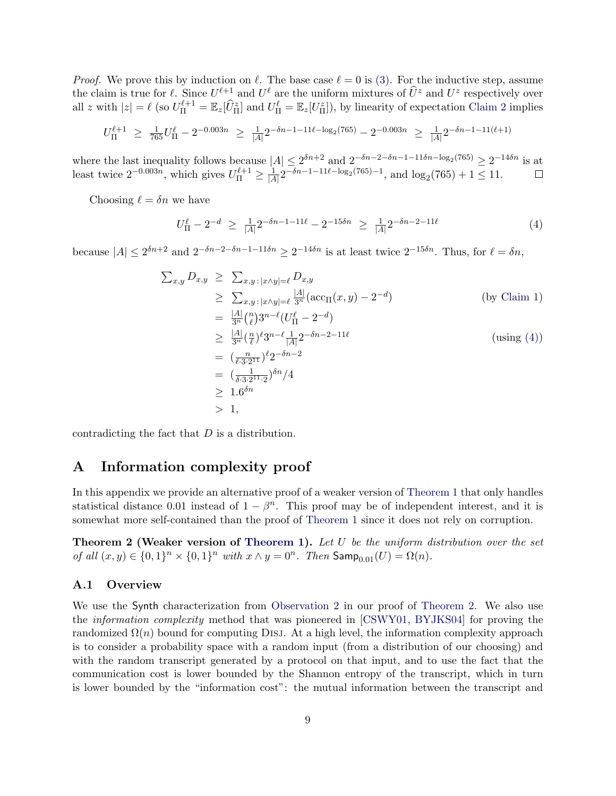*Proof.* We prove this by induction on  $\ell$ . The base case  $\ell = 0$  is [\(3\).](#page-7-1) For the inductive step, assume the claim is true for  $\ell$ . Since  $U^{\ell+1}$  and  $U^{\ell}$  are the uniform mixtures of  $\widehat{U}^z$  and  $U^z$  respectively over all z with  $|z| = \ell$  (so  $U_{\Pi}^{\ell+1} = \mathbb{E}_z[\hat{U}_{\Pi}^z]$  and  $U_{\Pi}^{\ell} = \mathbb{E}_z[U_{\Pi}^z]$ ), by linearity of expectation [Claim 2](#page-7-2) implies

$$
U_{\Pi}^{\ell+1} \ \geq \ \tfrac{1}{765} U_{\Pi}^{\ell} - 2^{-0.003n} \ \geq \ \tfrac{1}{|A|} 2^{-\delta n - 1 - 11\ell - \log_2(765)} - 2^{-0.003n} \ \geq \ \tfrac{1}{|A|} 2^{-\delta n - 1 - 11(\ell+1)}
$$

where the last inequality follows because  $|A| \leq 2^{\delta n+2}$  and  $2^{-\delta n-2-\delta n-1-11\delta n-\log_2(765)} \geq 2^{-14\delta n}$  is at least twice  $2^{-0.003n}$ , which gives  $U_{\Pi}^{\ell+1} \geq \frac{1}{|A|}$  $\frac{1}{|A|} 2^{-\delta n - 1 - 11\ell - \log_2(765) - 1}$ , and  $\log_2(765) + 1 \leq 11$ .

Choosing  $\ell = \delta n$  we have

<span id="page-8-0"></span>
$$
U_{\Pi}^{\ell} - 2^{-d} \ge \frac{1}{|A|} 2^{-\delta n - 1 - 11\ell} - 2^{-15\delta n} \ge \frac{1}{|A|} 2^{-\delta n - 2 - 11\ell} \tag{4}
$$

because  $|A| \leq 2^{\delta n+2}$  and  $2^{-\delta n-2-\delta n-1-11\delta n} \geq 2^{-14\delta n}$  is at least twice  $2^{-15\delta n}$ . Thus, for  $\ell = \delta n$ ,

$$
\sum_{x,y} D_{x,y} \geq \sum_{x,y \,:\, |x \wedge y| = \ell} D_{x,y}
$$
\n
$$
\geq \sum_{x,y \,:\, |x \wedge y| = \ell} \frac{|A|}{3^n} (\operatorname{acc}_{\Pi}(x,y) - 2^{-d})
$$
\n
$$
= \frac{|A|}{3^n} {n \choose \ell} 3^{n-\ell} (U_{\Pi}^{\ell} - 2^{-d})
$$
\n
$$
\geq \frac{|A|}{3^n} (\frac{n}{\ell})^{\ell} 3^{n-\ell} \frac{1}{|A|} 2^{-\delta n - 2 - 11\ell}
$$
\n
$$
= (\frac{n}{\ell \cdot 3 \cdot 2^{11}})^{\ell} 2^{-\delta n - 2}
$$
\n
$$
= (\frac{1}{\delta \cdot 3 \cdot 2^{11} \cdot 2})^{\delta n} / 4
$$
\n
$$
\geq 1.6^{\delta n}
$$
\n
$$
> 1,
$$

contradicting the fact that  $D$  is a distribution.

## A Information complexity proof

In this appendix we provide an alternative proof of a weaker version of [Theorem 1](#page-2-0) that only handles statistical distance 0.01 instead of  $1 - \beta^n$ . This proof may be of independent interest, and it is somewhat more self-contained than the proof of [Theorem 1](#page-2-0) since it does not rely on corruption.

<span id="page-8-1"></span>**Theorem 2 (Weaker version of [Theorem 1\)](#page-2-0).** Let  $U$  be the uniform distribution over the set of all  $(x, y) \in \{0, 1\}^n \times \{0, 1\}^n$  with  $x \wedge y = 0^n$ . Then  $\mathsf{Samp}_{0.01}(U) = \Omega(n)$ .

#### A.1 Overview

We use the Synth characterization from [Observation 2](#page-3-0) in our proof of [Theorem 2.](#page-8-1) We also use the information complexity method that was pioneered in [\[CSWY01,](#page-18-8) [BYJKS04\]](#page-17-0) for proving the randomized  $\Omega(n)$  bound for computing DISJ. At a high level, the information complexity approach is to consider a probability space with a random input (from a distribution of our choosing) and with the random transcript generated by a protocol on that input, and to use the fact that the communication cost is lower bounded by the Shannon entropy of the transcript, which in turn is lower bounded by the "information cost": the mutual information between the transcript and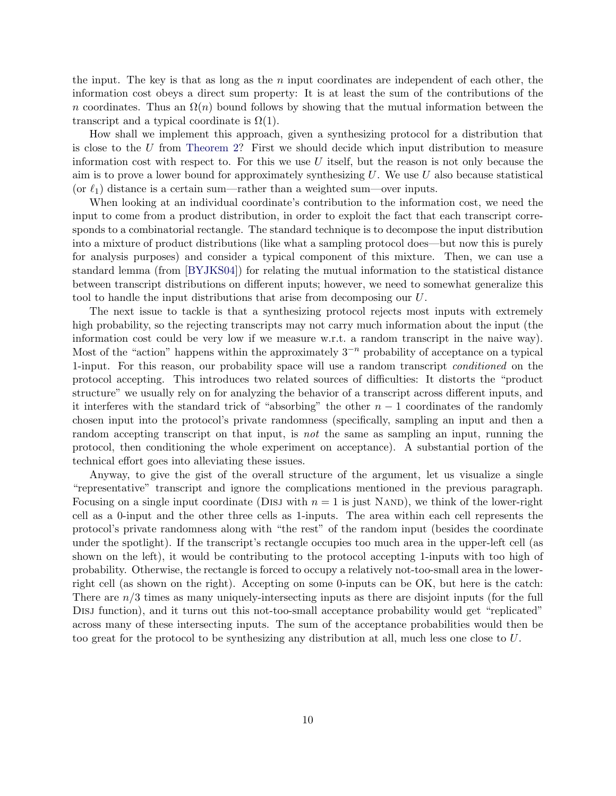the input. The key is that as long as the  $n$  input coordinates are independent of each other, the information cost obeys a direct sum property: It is at least the sum of the contributions of the n coordinates. Thus an  $\Omega(n)$  bound follows by showing that the mutual information between the transcript and a typical coordinate is  $\Omega(1)$ .

How shall we implement this approach, given a synthesizing protocol for a distribution that is close to the U from [Theorem 2?](#page-8-1) First we should decide which input distribution to measure information cost with respect to. For this we use  $U$  itself, but the reason is not only because the aim is to prove a lower bound for approximately synthesizing  $U$ . We use  $U$  also because statistical (or  $\ell_1$ ) distance is a certain sum—rather than a weighted sum—over inputs.

When looking at an individual coordinate's contribution to the information cost, we need the input to come from a product distribution, in order to exploit the fact that each transcript corresponds to a combinatorial rectangle. The standard technique is to decompose the input distribution into a mixture of product distributions (like what a sampling protocol does—but now this is purely for analysis purposes) and consider a typical component of this mixture. Then, we can use a standard lemma (from [\[BYJKS04\]](#page-17-0)) for relating the mutual information to the statistical distance between transcript distributions on different inputs; however, we need to somewhat generalize this tool to handle the input distributions that arise from decomposing our U.

The next issue to tackle is that a synthesizing protocol rejects most inputs with extremely high probability, so the rejecting transcripts may not carry much information about the input (the information cost could be very low if we measure w.r.t. a random transcript in the naive way). Most of the "action" happens within the approximately  $3^{-n}$  probability of acceptance on a typical 1-input. For this reason, our probability space will use a random transcript conditioned on the protocol accepting. This introduces two related sources of difficulties: It distorts the "product structure" we usually rely on for analyzing the behavior of a transcript across different inputs, and it interferes with the standard trick of "absorbing" the other  $n-1$  coordinates of the randomly chosen input into the protocol's private randomness (specifically, sampling an input and then a random accepting transcript on that input, is not the same as sampling an input, running the protocol, then conditioning the whole experiment on acceptance). A substantial portion of the technical effort goes into alleviating these issues.

Anyway, to give the gist of the overall structure of the argument, let us visualize a single "representative" transcript and ignore the complications mentioned in the previous paragraph. Focusing on a single input coordinate (DISJ with  $n = 1$  is just NAND), we think of the lower-right cell as a 0-input and the other three cells as 1-inputs. The area within each cell represents the protocol's private randomness along with "the rest" of the random input (besides the coordinate under the spotlight). If the transcript's rectangle occupies too much area in the upper-left cell (as shown on the left), it would be contributing to the protocol accepting 1-inputs with too high of probability. Otherwise, the rectangle is forced to occupy a relatively not-too-small area in the lowerright cell (as shown on the right). Accepting on some 0-inputs can be OK, but here is the catch: There are  $n/3$  times as many uniquely-intersecting inputs as there are disjoint inputs (for the full Disj function), and it turns out this not-too-small acceptance probability would get "replicated" across many of these intersecting inputs. The sum of the acceptance probabilities would then be too great for the protocol to be synthesizing any distribution at all, much less one close to U.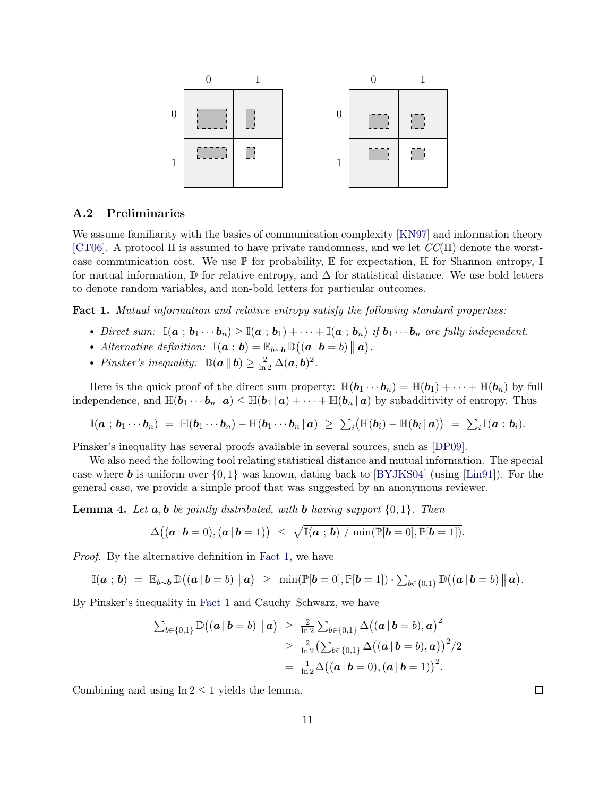

## A.2 Preliminaries

We assume familiarity with the basics of communication complexity  $[KN97]$  and information theory [\[CT06\]](#page-18-9). A protocol  $\Pi$  is assumed to have private randomness, and we let  $CC(\Pi)$  denote the worstcase communication cost. We use  $\mathbb P$  for probability,  $\mathbb E$  for expectation,  $\mathbb H$  for Shannon entropy,  $\mathbb I$ for mutual information,  $\mathbb D$  for relative entropy, and  $\Delta$  for statistical distance. We use bold letters to denote random variables, and non-bold letters for particular outcomes.

<span id="page-10-0"></span>Fact 1. Mutual information and relative entropy satisfy the following standard properties:

- Direct sum:  $\mathbb{I}(a : b_1 \cdots b_n) \geq \mathbb{I}(a : b_1) + \cdots + \mathbb{I}(a : b_n)$  if  $b_1 \cdots b_n$  are fully independent.
- Alternative definition:  $\mathbb{I}({\bf a} : {\bf b}) = \mathbb{E}_{b \sim {\bf b}} \mathbb{D}(({\bf a} | {\bf b} = b) || {\bf a}).$
- Pinsker's inequality:  $\mathbb{D}(\boldsymbol{a} \parallel \boldsymbol{b}) \geq \frac{2}{\ln 2} \Delta(\boldsymbol{a}, \boldsymbol{b})^2$ .

Here is the quick proof of the direct sum property:  $\mathbb{H}(\boldsymbol{b}_1 \cdots \boldsymbol{b}_n) = \mathbb{H}(\boldsymbol{b}_1) + \cdots + \mathbb{H}(\boldsymbol{b}_n)$  by full independence, and  $\mathbb{H}(\mathbf{b}_1 \cdots \mathbf{b}_n | \mathbf{a}) \leq \mathbb{H}(\mathbf{b}_1 | \mathbf{a}) + \cdots + \mathbb{H}(\mathbf{b}_n | \mathbf{a})$  by subadditivity of entropy. Thus

$$
\mathbb{I}({\boldsymbol a}\,;\,{\boldsymbol b}_1 \cdots {\boldsymbol b}_n) \;=\; \mathbb{H}({\boldsymbol b}_1 \cdots {\boldsymbol b}_n) - \mathbb{H}({\boldsymbol b}_1 \cdots {\boldsymbol b}_n\,|\, {\boldsymbol a}) \;\geq\; \textstyle\sum_i \bigl(\mathbb{H}({\boldsymbol b}_i) - \mathbb{H}({\boldsymbol b}_i\,|\, {\boldsymbol a})\bigr) \;=\; \textstyle\sum_i \mathbb{I}({\boldsymbol a}\,;\,{\boldsymbol b}_i).
$$

Pinsker's inequality has several proofs available in several sources, such as [\[DP09\]](#page-18-10).

We also need the following tool relating statistical distance and mutual information. The special case where **b** is uniform over  $\{0, 1\}$  was known, dating back to [\[BYJKS04\]](#page-17-0) (using [\[Lin91\]](#page-20-10)). For the general case, we provide a simple proof that was suggested by an anonymous reviewer.

<span id="page-10-1"></span>**Lemma 4.** Let  $a, b$  be jointly distributed, with b having support  $\{0, 1\}$ . Then

$$
\Delta((\boldsymbol{a} \,|\, \boldsymbol{b}=0), (\boldsymbol{a} \,|\, \boldsymbol{b}=1)) \;\leq\; \sqrt{\mathbb{I}(\boldsymbol{a} \,;\, \boldsymbol{b}) \,\,/\, \min(\mathbb{P}[\boldsymbol{b}=0], \mathbb{P}[\boldsymbol{b}=1])}.
$$

Proof. By the alternative definition in [Fact 1,](#page-10-0) we have

$$
\mathbb{I}(\boldsymbol{a} \; ; \; \boldsymbol{b}) \; = \; \mathbb{E}_{b \sim \boldsymbol{b}} \, \mathbb{D}\big( (\boldsymbol{a} \, | \, \boldsymbol{b} = b) \, \|\, \boldsymbol{a} \big) \; \geq \; \min(\mathbb{P}[\boldsymbol{b} = 0], \mathbb{P}[\boldsymbol{b} = 1]) \cdot \sum_{b \in \{0,1\}} \mathbb{D}\big( (\boldsymbol{a} \, | \, \boldsymbol{b} = b) \, \|\, \boldsymbol{a} \big).
$$

By Pinsker's inequality in [Fact 1](#page-10-0) and Cauchy–Schwarz, we have

$$
\sum_{b \in \{0,1\}} \mathbb{D}((a | b = b) || a) \ge \frac{2}{\ln 2} \sum_{b \in \{0,1\}} \Delta((a | b = b), a)^2
$$
  
 
$$
\ge \frac{2}{\ln 2} (\sum_{b \in \{0,1\}} \Delta((a | b = b), a))^2 / 2
$$
  
=  $\frac{1}{\ln 2} \Delta((a | b = 0), (a | b = 1))^2$ .

Combining and using  $\ln 2 \leq 1$  yields the lemma.

 $\Box$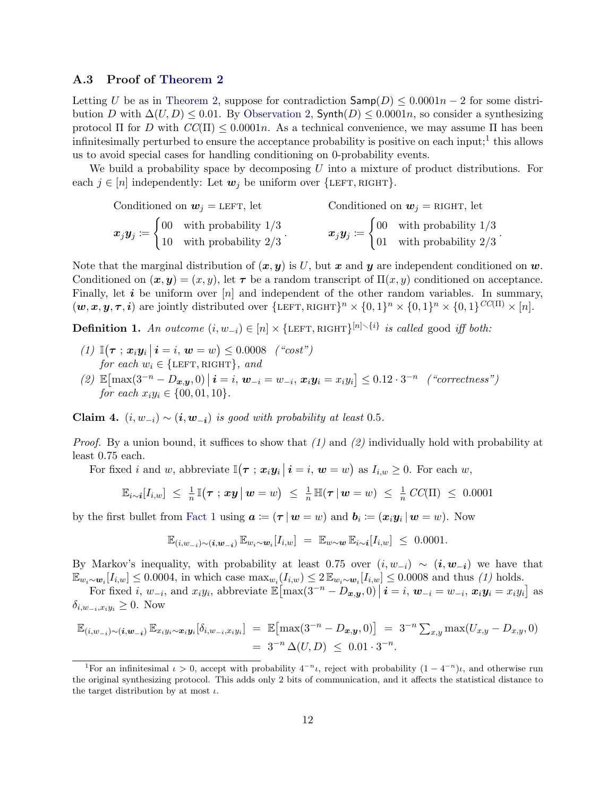### A.3 Proof of [Theorem 2](#page-8-1)

Letting U be as in [Theorem 2,](#page-8-1) suppose for contradiction  $\textsf{Samp}(D) \leq 0.0001n - 2$  for some distribution D with  $\Delta(U, D) \leq 0.01$ . By [Observation 2,](#page-3-0) Synth $(D) \leq 0.0001n$ , so consider a synthesizing protocol  $\Pi$  for D with  $CC(\Pi) \leq 0.0001n$ . As a technical convenience, we may assume  $\Pi$  has been infinitesimally perturbed to ensure the acceptance probability is positive on each input;<sup>[1](#page-11-0)</sup> this allows us to avoid special cases for handling conditioning on 0-probability events.

We build a probability space by decomposing  $U$  into a mixture of product distributions. For each  $j \in [n]$  independently: Let  $w_j$  be uniform over  $\{\text{LEFT}, \text{RIGHT}\}.$ 

| Conditioned on $w_j =$ LEFT, let |  |                                                                                                                       | Conditioned on $w_i$ = RIGHT, let |  |                                                                                                                                                |
|----------------------------------|--|-----------------------------------------------------------------------------------------------------------------------|-----------------------------------|--|------------------------------------------------------------------------------------------------------------------------------------------------|
|                                  |  | $x_j y_j \coloneqq \begin{cases} 00 & \text{with probability } 1/3 \\ 10 & \text{with probability } 2/3 \end{cases}.$ |                                   |  | $\boldsymbol{x}_j \boldsymbol{y}_j \coloneqq \begin{cases} 00 & \text{with probability } 1/3 \\ 01 & \text{with probability } 2/3 \end{cases}$ |
|                                  |  |                                                                                                                       |                                   |  |                                                                                                                                                |

.

Note that the marginal distribution of  $(x, y)$  is U, but x and y are independent conditioned on w. Conditioned on  $(x, y) = (x, y)$ , let  $\tau$  be a random transcript of  $\Pi(x, y)$  conditioned on acceptance. Finally, let  $i$  be uniform over  $[n]$  and independent of the other random variables. In summary,  $(w, x, y, \tau, i)$  are jointly distributed over  $\{\text{LEFT}, \text{RIGHT}\}^n \times \{0, 1\}^n \times \{0, 1\}^n \times \{0, 1\}^{CC(\Pi)} \times [n].$ 

**Definition 1.** An outcome  $(i, w_{-i}) \in [n] \times \{\text{LEFT}, \text{RIGHT}\}^{[n] \setminus \{i\}}$  is called good iff both:

- (1)  $\mathbb{I}(\tau; x_i y_i | i = i, w = w) \leq 0.0008$  ("cost") for each  $w_i \in \{\text{LEFT}, \text{RIGHT}\}, \text{ and}$
- (2)  $\mathbb{E}[\max(3^{-n} D_{x,y}, 0) | i = i, w_{-i} = w_{-i}, x_i y_i = x_i y_i] \leq 0.12 \cdot 3^{-n}$  ("correctness") for each  $x_i y_i \in \{00, 01, 10\}.$

<span id="page-11-1"></span>Claim 4.  $(i, w_{-i}) \sim (i, w_{-i})$  is good with probability at least 0.5.

*Proof.* By a union bound, it suffices to show that  $(1)$  and  $(2)$  individually hold with probability at least 0.75 each.

For fixed *i* and *w*, abbreviate  $\mathbb{I}(\tau ; x_i y_i \, | \, i = i, w = w)$  as  $I_{i,w} \geq 0$ . For each *w*,

$$
\mathbb{E}_{i \sim i}[I_{i,w}] \leq \frac{1}{n} \mathbb{I}(\boldsymbol{\tau} \; ; \; \boldsymbol{x} \boldsymbol{y} \; | \; \boldsymbol{w} = w) \; \leq \; \frac{1}{n} \, \mathbb{H}(\boldsymbol{\tau} \; | \; \boldsymbol{w} = w) \; \leq \; \frac{1}{n} \, CC(\Pi) \; \leq \; 0.0001
$$

by the first bullet from [Fact 1](#page-10-0) using  $a \coloneqq (\tau | w = w)$  and  $b_i \coloneqq (x_i y_i | w = w)$ . Now

$$
\mathbb{E}_{(i,w_{-i})\sim(i,w_{-i})}\,\mathbb{E}_{w_i\sim w_i}[I_{i,w}] = \mathbb{E}_{w\sim w}\,\mathbb{E}_{i\sim i}[I_{i,w}] \leq 0.0001.
$$

By Markov's inequality, with probability at least 0.75 over  $(i, w_{-i}) \sim (i, w_{-i})$  we have that  $\mathbb{E}_{w_i \sim w_i}[I_{i,w}] \leq 0.0004$ , in which case  $\max_{w_i}(I_{i,w}) \leq 2 \mathbb{E}_{w_i \sim w_i}[I_{i,w}] \leq 0.0008$  and thus (1) holds.

For fixed  $i, w_{-i}$ , and  $x_i y_i$ , abbreviate  $\mathbb{E} \left[ \max(3^{-n} - D_{\boldsymbol{x}, \boldsymbol{y}}, 0) \, \big| \, \boldsymbol{i} = i, \, \boldsymbol{w}_{-i} = w_{-i}, \, \boldsymbol{x}_i \boldsymbol{y}_i = x_i y_i \right]$  as  $\delta_{i,w_{-i},x_iy_i} \geq 0$ . Now

$$
\mathbb{E}_{(i,w_{-i})\sim(i,w_{-i})}\mathbb{E}_{x_iy_i\sim x_iy_i}[\delta_{i,w_{-i},x_iy_i}] = \mathbb{E}[\max(3^{-n}-D_{x,y},0)] = 3^{-n}\sum_{x,y} \max(U_{x,y}-D_{x,y},0)
$$
  
=  $3^{-n}\Delta(U,D) \leq 0.01 \cdot 3^{-n}$ .

<span id="page-11-0"></span><sup>&</sup>lt;sup>1</sup>For an infinitesimal  $\iota > 0$ , accept with probability  $4^{-n}\iota$ , reject with probability  $(1 - 4^{-n})\iota$ , and otherwise run the original synthesizing protocol. This adds only 2 bits of communication, and it affects the statistical distance to the target distribution by at most  $\iota$ .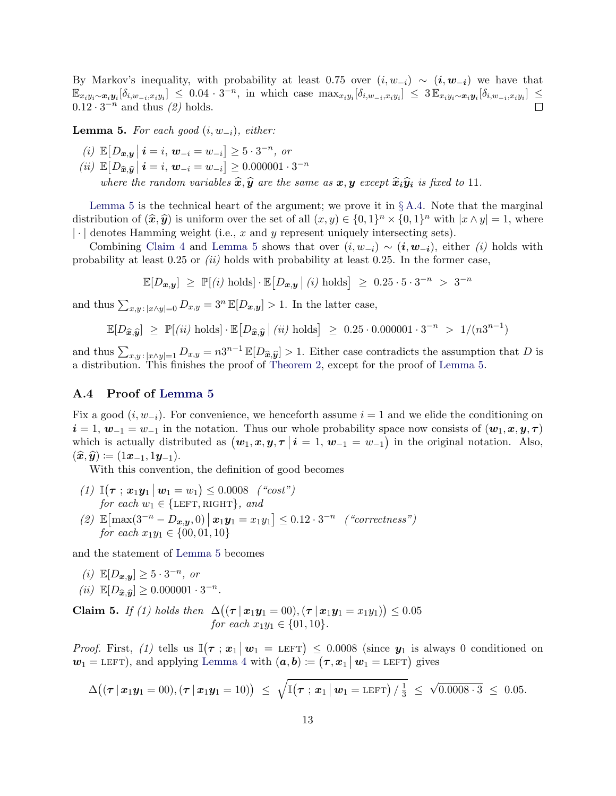By Markov's inequality, with probability at least 0.75 over  $(i, w_{-i}) \sim (i, w_{-i})$  we have that  $\mathbb{E}_{x_iy_i\sim\bm{x}_iy_i}[\delta_{i,w_{-i},x_iy_i}] \leq 0.04\cdot 3^{-n}$ , in which case  $\max_{x_iy_i}[\delta_{i,w_{-i},x_iy_i}] \leq 3\mathbb{E}_{x_iy_i\sim\bm{x}_iy_i}[\delta_{i,w_{-i},x_iy_i}] \leq$  $0.12 \cdot 3^{-n}$  and thus  $(2)$  holds.  $\Box$ 

<span id="page-12-0"></span>**Lemma 5.** For each good  $(i, w_{-i})$ , either:

(i) 
$$
\mathbb{E}[D_{x,y} | i = i, w_{-i} = w_{-i}] \ge 5 \cdot 3^{-n}
$$
, or  
\n(ii)  $\mathbb{E}[D_{\widehat{x},\widehat{y}} | i = i, w_{-i} = w_{-i}] \ge 0.000001 \cdot 3^{-n}$   
\nwhere the random variables  $\widehat{x}, \widehat{y}$  are the same as  $x, y$  except  $\widehat{x}_i \widehat{y}_i$  is fixed to 11.

[Lemma 5](#page-12-0) is the technical heart of the argument; we prove it in  $\S A.4$ . Note that the marginal distribution of  $(\hat{x}, \hat{y})$  is uniform over the set of all  $(x, y) \in \{0, 1\}^n \times \{0, 1\}^n$  with  $|x \wedge y| = 1$ , where  $\lfloor \cdot \rfloor$  denotes Hamming weight (i.e., x and y represent uniquely intersecting sets).

Combining [Claim 4](#page-11-1) and [Lemma 5](#page-12-0) shows that over  $(i, w_{-i}) \sim (i, w_{-i})$ , either  $(i)$  holds with probability at least  $0.25$  or  $(ii)$  holds with probability at least  $0.25$ . In the former case,

$$
\mathbb{E}[D_{x,y}] \geq \mathbb{P}[(i) \text{ holds}] \cdot \mathbb{E}[D_{x,y} | (i) \text{ holds}] \geq 0.25 \cdot 5 \cdot 3^{-n} > 3^{-n}
$$

and thus  $\sum_{x,y : |x \wedge y|=0} D_{x,y} = 3^n \mathbb{E}[D_{x,y}] > 1$ . In the latter case,

$$
\mathbb{E}[D_{\widehat{\mathbf{x}}, \widehat{\mathbf{y}}}] \geq \mathbb{P}[(ii) \text{ holds}] \cdot \mathbb{E}[D_{\widehat{\mathbf{x}}, \widehat{\mathbf{y}}}] (ii) \text{ holds}] \geq 0.25 \cdot 0.000001 \cdot 3^{-n} > 1/(n3^{n-1})
$$

and thus  $\sum_{x,y:|x\wedge y|=1} D_{x,y} = n3^{n-1} \mathbb{E}[D_{\widehat{x},\widehat{y}}] > 1$ . Either case contradicts the assumption that D is a distribution. This finishes the proof of [Theorem 2,](#page-8-1) except for the proof of [Lemma 5.](#page-12-0)

### <span id="page-12-1"></span>A.4 Proof of [Lemma 5](#page-12-0)

Fix a good  $(i, w_{-i})$ . For convenience, we henceforth assume  $i = 1$  and we elide the conditioning on  $i = 1, w_{-1} = w_{-1}$  in the notation. Thus our whole probability space now consists of  $(w_1, x, y, \tau)$ which is actually distributed as  $(\boldsymbol{w}_1, \boldsymbol{x}, \boldsymbol{y}, \boldsymbol{\tau} \mid \boldsymbol{i} = 1, \boldsymbol{w}_{-1} = w_{-1})$  in the original notation. Also,  $(\widehat{\boldsymbol{x}}, \widehat{\boldsymbol{y}}) \coloneqq (1\boldsymbol{x}_{-1}, 1\boldsymbol{y}_{-1}).$ 

With this convention, the definition of good becomes

(1)  $\mathbb{I}(\tau; x_1y_1 \, | \, w_1 = w_1) \leq 0.0008$  ("cost") for each  $w_1 \in \{\text{LEFT}, \text{RIGHT}\}, \text{ and}$ (2)  $\mathbb{E}[\max(3^{-n} - D_{x,y}, 0) | x_1y_1 = x_1y_1] \leq 0.12 \cdot 3^{-n}$  ("correctness")  $for each x_1y_1 \in \{00, 01, 10\}$ 

and the statement of [Lemma 5](#page-12-0) becomes

(i)  $\mathbb{E}[D_{x,y}] \geq 5 \cdot 3^{-n}$ , or (*ii*)  $\mathbb{E}[D_{\hat{x},\hat{y}}] \ge 0.000001 \cdot 3^{-n}$ .

<span id="page-12-2"></span>Claim 5. If (1) holds then  $\Delta((\tau | x_1 y_1 = 00), (\tau | x_1 y_1 = x_1 y_1)) \le 0.05$ for each  $x_1y_1 \in \{01, 10\}.$ 

*Proof.* First, (1) tells us  $\mathbb{I}(\tau; x_1 | w_1 = \text{LEFT}) \le 0.0008$  (since  $y_1$  is always 0 conditioned on  $w_1 = \text{LEFT}$ ), and applying [Lemma 4](#page-10-1) with  $(a, b) := (\tau, x_1 \mid w_1 = \text{LEFT})$  gives

$$
\Delta((\tau \,|\, \bm{x}_1\bm{y}_1=00),(\tau \,|\, \bm{x}_1\bm{y}_1=10)) \;\leq\; \sqrt{\mathbb{I}(\tau \;;\, \bm{x}_1 \,|\, \bm{w}_1=\textrm{LEFT}) \,/\, \tfrac{1}{3}} \;\leq\; \sqrt{0.0008\cdot 3} \;\leq\; 0.05.
$$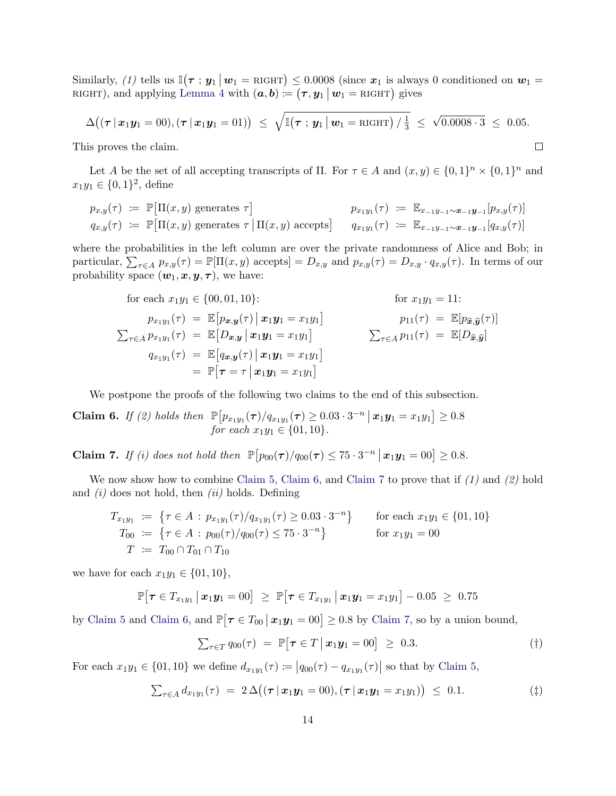Similarly, (1) tells us  $\mathbb{I}(\tau; y_1 | w_1 = \text{RIGHT}) \le 0.0008$  (since  $x_1$  is always 0 conditioned on  $w_1 =$ RIGHT), and applying [Lemma 4](#page-10-1) with  $(a, b) := (\tau, y_1 \, | \, w_1 = \text{RIGHT})$  gives

$$
\Delta((\tau | x_1 y_1 = 00), (\tau | x_1 y_1 = 01)) \leq \sqrt{\mathbb{I}(\tau | y_1 | w_1 = \text{RIGHT}) / \frac{1}{3}} \leq \sqrt{0.0008 \cdot 3} \leq 0.05.
$$

 $\Box$ 

This proves the claim.

Let A be the set of all accepting transcripts of  $\Pi$ . For  $\tau \in A$  and  $(x, y) \in \{0, 1\}^n \times \{0, 1\}^n$  and  $x_1y_1 \in \{0,1\}^2$ , define

$$
p_{x,y}(\tau) := \mathbb{P}[\Pi(x,y) \text{ generates } \tau] \qquad p_{x_1y_1}(\tau) := \mathbb{E}_{x_{-1}y_{-1} \sim x_{-1}}[p_{x,y}(\tau)]
$$
  
\n
$$
q_{x,y}(\tau) := \mathbb{P}[\Pi(x,y) \text{ generates } \tau \mid \Pi(x,y) \text{ accepts}] \qquad q_{x_1y_1}(\tau) := \mathbb{E}_{x_{-1}y_{-1} \sim x_{-1}}[q_{x,y}(\tau)]
$$

where the probabilities in the left column are over the private randomness of Alice and Bob; in particular,  $\sum_{\tau \in A} p_{x,y}(\tau) = \mathbb{P}[\Pi(x, y) \text{ accepts}] = D_{x,y} \text{ and } p_{x,y}(\tau) = D_{x,y} \cdot q_{x,y}(\tau)$ . In terms of our probability space  $(\boldsymbol{w}_1, \boldsymbol{x}, \boldsymbol{y}, \boldsymbol{\tau})$ , we have:

for each 
$$
x_1y_1 \in \{00, 01, 10\}
$$
:  
\nfor  $x_1y_1 = 11$ :  
\n $p_{x_1y_1}(\tau) = \mathbb{E}[p_{x,y}(\tau) | x_1y_1 = x_1y_1]$   
\n $\sum_{\tau \in A} p_{x_1y_1}(\tau) = \mathbb{E}[D_{x,y} | x_1y_1 = x_1y_1]$   
\n $q_{x_1y_1}(\tau) = \mathbb{E}[q_{x,y}(\tau) | x_1y_1 = x_1y_1]$   
\n $= \mathbb{P}[\tau = \tau | x_1y_1 = x_1y_1]$   
\n $\sum_{\tau \in A} p_{x_1}(\tau) = \mathbb{E}[D_{\widehat{x}, \widehat{y}}]$ 

We postpone the proofs of the following two claims to the end of this subsection.

<span id="page-13-0"></span>Claim 6. If (2) holds then  $\mathbb{P}[p_{x_1y_1}(\tau)/q_{x_1y_1}(\tau) \geq 0.03 \cdot 3^{-n} | x_1y_1 = x_1y_1] \geq 0.8$ for each  $x_1y_1 \in \{01, 10\}.$ 

<span id="page-13-1"></span>**Claim 7.** If (i) does not hold then  $\mathbb{P}[p_{00}(\tau)/q_{00}(\tau) \leq 75 \cdot 3^{-n} | \mathbf{x}_1 \mathbf{y}_1 = 00] \geq 0.8$ .

We now show how to combine [Claim 5,](#page-12-2) [Claim 6,](#page-13-0) and [Claim 7](#page-13-1) to prove that if  $(1)$  and  $(2)$  hold and  $(i)$  does not hold, then  $(ii)$  holds. Defining

$$
T_{x_1y_1} := \{ \tau \in A : p_{x_1y_1}(\tau)/q_{x_1y_1}(\tau) \ge 0.03 \cdot 3^{-n} \} \quad \text{for each } x_1y_1 \in \{01, 10\}
$$
  
\n
$$
T_{00} := \{ \tau \in A : p_{00}(\tau)/q_{00}(\tau) \le 75 \cdot 3^{-n} \} \quad \text{for } x_1y_1 = 00
$$
  
\n
$$
T := T_{00} \cap T_{01} \cap T_{10}
$$

we have for each  $x_1y_1 \in \{01, 10\}$ ,

$$
\mathbb{P}[\boldsymbol{\tau} \in T_{x_1y_1} \,|\, \boldsymbol{x}_1\boldsymbol{y}_1 = 00] \geq \mathbb{P}[\boldsymbol{\tau} \in T_{x_1y_1} \,|\, \boldsymbol{x}_1\boldsymbol{y}_1 = x_1y_1] - 0.05 \geq 0.75
$$

by [Claim 5](#page-12-2) and [Claim 6,](#page-13-0) and  $\mathbb{P}[\tau \in T_{00} \, | \, x_1 y_1 = 00] \geq 0.8$  by [Claim 7,](#page-13-1) so by a union bound,

<span id="page-13-4"></span><span id="page-13-3"></span><span id="page-13-2"></span>
$$
\sum_{\tau \in T} q_{00}(\tau) = \mathbb{P}[\tau \in T \mid \boldsymbol{x}_1 \boldsymbol{y}_1 = 00] \geq 0.3. \tag{\dagger}
$$

For each  $x_1y_1 \in \{01, 10\}$  we define  $d_{x_1y_1}(\tau) := |q_{00}(\tau) - q_{x_1y_1}(\tau)|$  so that by [Claim 5,](#page-12-2)

$$
\sum_{\tau \in A} d_{x_1 y_1}(\tau) = 2 \Delta ((\tau | x_1 y_1 = 00), (\tau | x_1 y_1 = x_1 y_1)) \leq 0.1. \tag{\ddagger}
$$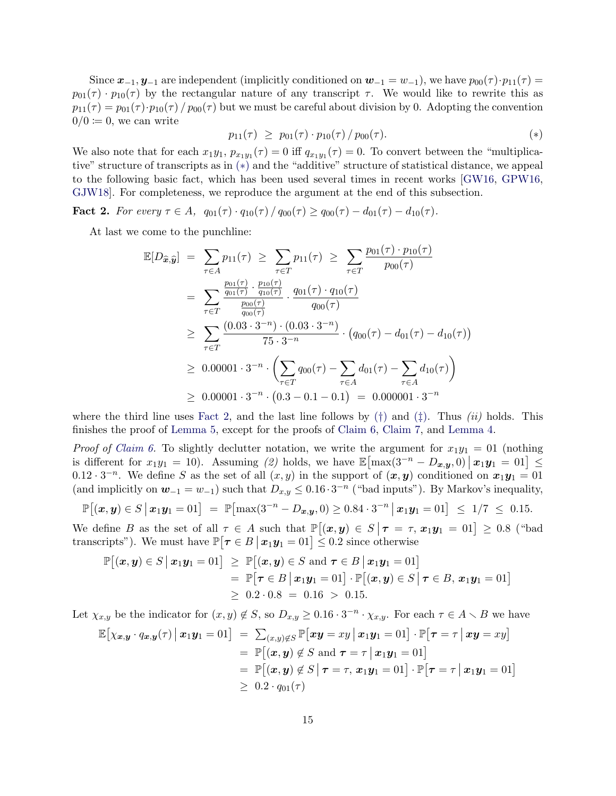Since  $x_{-1}, y_{-1}$  are independent (implicitly conditioned on  $w_{-1} = w_{-1}$ ), we have  $p_{00}(\tau) \cdot p_{11}(\tau) =$  $p_{01}(\tau) \cdot p_{10}(\tau)$  by the rectangular nature of any transcript  $\tau$ . We would like to rewrite this as  $p_{11}(\tau) = p_{01}(\tau) \cdot p_{10}(\tau) / p_{00}(\tau)$  but we must be careful about division by 0. Adopting the convention  $0/0 \coloneqq 0$ , we can write

<span id="page-14-0"></span>
$$
p_{11}(\tau) \ge p_{01}(\tau) \cdot p_{10}(\tau) / p_{00}(\tau). \tag{*}
$$

We also note that for each  $x_1y_1$ ,  $p_{x_1y_1}(\tau) = 0$  iff  $q_{x_1y_1}(\tau) = 0$ . To convert between the "multiplicative" structure of transcripts as in ([∗](#page-14-0)) and the "additive" structure of statistical distance, we appeal to the following basic fact, which has been used several times in recent works [\[GW16,](#page-19-5) [GPW16,](#page-19-6) [GJW18\]](#page-19-11). For completeness, we reproduce the argument at the end of this subsection.

<span id="page-14-1"></span>Fact 2. For every  $\tau \in A$ ,  $q_{01}(\tau) \cdot q_{10}(\tau) / q_{00}(\tau) \geq q_{00}(\tau) - d_{01}(\tau) - d_{10}(\tau)$ .

At last we come to the punchline:

$$
\mathbb{E}[D_{\widehat{\mathbf{x}},\widehat{\mathbf{y}}}] = \sum_{\tau \in A} p_{11}(\tau) \ge \sum_{\tau \in T} p_{11}(\tau) \ge \sum_{\tau \in T} \frac{p_{01}(\tau) \cdot p_{10}(\tau)}{p_{00}(\tau)}
$$
\n
$$
= \sum_{\tau \in T} \frac{\frac{p_{01}(\tau)}{q_{01}(\tau)} \cdot \frac{p_{10}(\tau)}{q_{10}(\tau)}}{\frac{p_{00}(\tau)}{q_{00}(\tau)}} \cdot \frac{q_{01}(\tau) \cdot q_{10}(\tau)}{q_{00}(\tau)}
$$
\n
$$
\ge \sum_{\tau \in T} \frac{(0.03 \cdot 3^{-n}) \cdot (0.03 \cdot 3^{-n})}{75 \cdot 3^{-n}} \cdot (q_{00}(\tau) - d_{01}(\tau) - d_{10}(\tau))
$$
\n
$$
\ge 0.00001 \cdot 3^{-n} \cdot \left(\sum_{\tau \in T} q_{00}(\tau) - \sum_{\tau \in A} d_{01}(\tau) - \sum_{\tau \in A} d_{10}(\tau)\right)
$$
\n
$$
\ge 0.00001 \cdot 3^{-n} \cdot (0.3 - 0.1 - 0.1) = 0.000001 \cdot 3^{-n}
$$

where the third line uses [Fact 2,](#page-14-1) and the last line follows by  $(\dagger)$  and  $(\dagger)$ . Thus *(ii)* holds. This finishes the proof of [Lemma 5,](#page-12-0) except for the proofs of [Claim 6,](#page-13-0) [Claim 7,](#page-13-1) and [Lemma 4.](#page-10-1)

*Proof of [Claim 6.](#page-13-0)* To slightly declutter notation, we write the argument for  $x_1y_1 = 01$  (nothing is different for  $x_1y_1 = 10$ ). Assuming (2) holds, we have  $\mathbb{E}[\max(3^{-n} - D_{x,y}, 0) | x_1y_1 = 01] \le$ 0.12 · 3<sup>-n</sup>. We define S as the set of all  $(x, y)$  in the support of  $(x, y)$  conditioned on  $x_1y_1 = 01$ (and implicitly on  $w_{-1} = w_{-1}$ ) such that  $D_{x,y} \leq 0.16 \cdot 3^{-n}$  ("bad inputs"). By Markov's inequality,

$$
\mathbb{P}[(x, y) \in S | x_1 y_1 = 01] = \mathbb{P}[\max(3^{-n} - D_{x,y}, 0) \ge 0.84 \cdot 3^{-n} | x_1 y_1 = 01] \le 1/7 \le 0.15.
$$

We define B as the set of all  $\tau \in A$  such that  $\mathbb{P}[(x, y) \in S | \tau = \tau, x_1y_1 = 01] \ge 0.8$  ("bad transcripts"). We must have  $\mathbb{P}[\tau \in B | x_1 y_1 = 01] \leq 0.2$  since otherwise

$$
\mathbb{P}[(\boldsymbol{x},\boldsymbol{y})\in S \mid \boldsymbol{x}_1\boldsymbol{y}_1=01] \geq \mathbb{P}[(\boldsymbol{x},\boldsymbol{y})\in S \text{ and } \boldsymbol{\tau}\in B \mid \boldsymbol{x}_1\boldsymbol{y}_1=01] \n= \mathbb{P}[\boldsymbol{\tau}\in B \mid \boldsymbol{x}_1\boldsymbol{y}_1=01] \cdot \mathbb{P}[(\boldsymbol{x},\boldsymbol{y})\in S \mid \boldsymbol{\tau}\in B, \boldsymbol{x}_1\boldsymbol{y}_1=01] \n\geq 0.2 \cdot 0.8 = 0.16 > 0.15.
$$

Let  $\chi_{x,y}$  be the indicator for  $(x, y) \notin S$ , so  $D_{x,y} \geq 0.16 \cdot 3^{-n} \cdot \chi_{x,y}$ . For each  $\tau \in A \setminus B$  we have

$$
\mathbb{E}\big[\chi_{\boldsymbol{x},\boldsymbol{y}}\cdot q_{\boldsymbol{x},\boldsymbol{y}}(\tau)\, \big| \, \boldsymbol{x}_1\boldsymbol{y}_1 = 01\big] = \sum_{(\boldsymbol{x},\boldsymbol{y})\notin S} \mathbb{P}\big[\boldsymbol{x}\boldsymbol{y} = x\boldsymbol{y}\, \big| \, \boldsymbol{x}_1\boldsymbol{y}_1 = 01\big] \cdot \mathbb{P}\big[\boldsymbol{\tau} = \tau \, \big| \, \boldsymbol{x}\boldsymbol{y} = x\boldsymbol{y}\big] \n= \mathbb{P}\big[(\boldsymbol{x},\boldsymbol{y})\notin S \text{ and } \boldsymbol{\tau} = \tau \, \big| \, \boldsymbol{x}_1\boldsymbol{y}_1 = 01\big] \n= \mathbb{P}\big[(\boldsymbol{x},\boldsymbol{y})\notin S \, \big| \, \boldsymbol{\tau} = \tau, \, \boldsymbol{x}_1\boldsymbol{y}_1 = 01\big] \cdot \mathbb{P}\big[\boldsymbol{\tau} = \tau \, \big| \, \boldsymbol{x}_1\boldsymbol{y}_1 = 01\big] \n\geq 0.2 \cdot q_{01}(\tau)
$$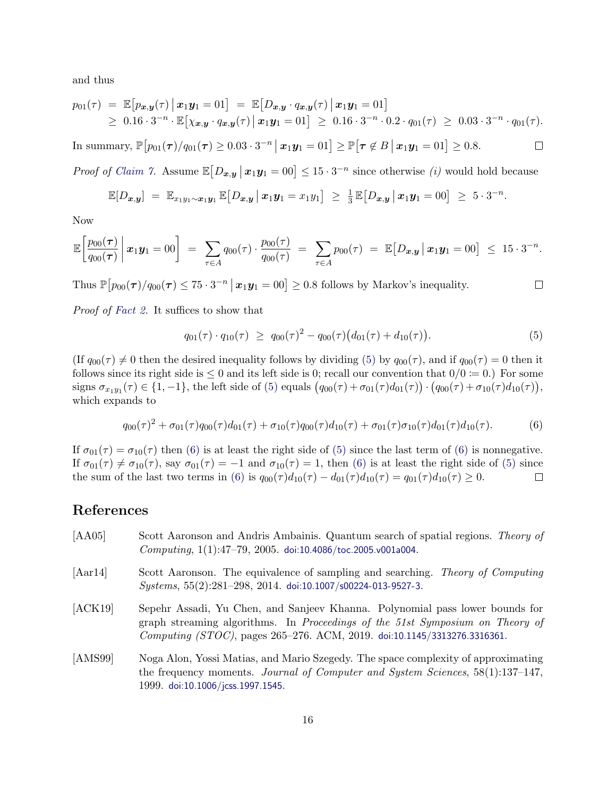and thus

$$
p_{01}(\tau) = \mathbb{E}\big[p_{\bm{x},\bm{y}}(\tau) \, \big| \, \bm{x}_1 \bm{y}_1 = 01\big] = \mathbb{E}\big[D_{\bm{x},\bm{y}} \cdot q_{\bm{x},\bm{y}}(\tau) \, \big| \, \bm{x}_1 \bm{y}_1 = 01\big] \geq 0.16 \cdot 3^{-n} \cdot \mathbb{E}\big[\chi_{\bm{x},\bm{y}} \cdot q_{\bm{x},\bm{y}}(\tau) \, \big| \, \bm{x}_1 \bm{y}_1 = 01\big] \geq 0.16 \cdot 3^{-n} \cdot 0.2 \cdot q_{01}(\tau) \geq 0.03 \cdot 3^{-n} \cdot q_{01}(\tau).
$$

 $\text{In summary, } \mathbb{P}\big[p_{01}(\boldsymbol{\tau}) / q_{01}(\boldsymbol{\tau}) \geq 0.03 \cdot 3^{-n} \, \big| \, \boldsymbol{x}_1\boldsymbol{y}_1 = 01\big] \geq \mathbb{P}\big[\boldsymbol{\tau} \not\in B \, \big| \, \boldsymbol{x}_1\boldsymbol{y}_1 = 01\big] \geq 0.8.$  $\Box$ 

*Proof of [Claim 7.](#page-13-1)* Assume  $\mathbb{E}[D_{x,y} | x_1y_1 = 00] \leq 15 \cdot 3^{-n}$  since otherwise *(i)* would hold because

$$
\mathbb{E}[D_{\boldsymbol{x},\boldsymbol{y}}] = \mathbb{E}_{x_1y_1\sim\boldsymbol{x}_1\boldsymbol{y}_1} \mathbb{E}[D_{\boldsymbol{x},\boldsymbol{y}} \,|\, \boldsymbol{x}_1\boldsymbol{y}_1 = x_1y_1] \geq \frac{1}{3} \mathbb{E}[D_{\boldsymbol{x},\boldsymbol{y}} \,|\, \boldsymbol{x}_1\boldsymbol{y}_1 = 00] \geq 5\cdot3^{-n}.
$$

Now

$$
\mathbb{E}\bigg[\frac{p_{00}(\tau)}{q_{00}(\tau)}\bigg|\,x_1\mathbf{y}_1=00\bigg] \;=\; \sum_{\tau\in A}q_{00}(\tau)\cdot\frac{p_{00}(\tau)}{q_{00}(\tau)} \;=\; \sum_{\tau\in A}p_{00}(\tau) \;=\; \mathbb{E}\big[D_{\mathbf{x},\mathbf{y}}\,\big|\, \mathbf{x}_1\mathbf{y}_1=00\big] \;\leq\; 15\cdot3^{-n}.
$$

Thus  $\mathbb{P}\left[p_{00}(\tau)/q_{00}(\tau)\leq 75\cdot 3^{-n} \,|\, \boldsymbol{x}_1\boldsymbol{y}_1=00\right]\geq 0.8$  follows by Markov's inequality.

Proof of [Fact 2.](#page-14-1) It suffices to show that

$$
q_{01}(\tau) \cdot q_{10}(\tau) \ge q_{00}(\tau)^2 - q_{00}(\tau) \big(d_{01}(\tau) + d_{10}(\tau)\big). \tag{5}
$$

 $\Box$ 

(If  $q_{00}(\tau) \neq 0$  then the desired inequality follows by dividing [\(5\)](#page-13-4) by  $q_{00}(\tau)$ , and if  $q_{00}(\tau) = 0$  then it follows since its right side is  $\leq 0$  and its left side is 0; recall our convention that  $0/0 \coloneq 0$ .) For some signs  $\sigma_{x_1y_1}(\tau) \in \{1, -1\}$ , the left side of [\(5\)](#page-13-4) equals  $(q_{00}(\tau) + \sigma_{01}(\tau)d_{01}(\tau)) \cdot (q_{00}(\tau) + \sigma_{10}(\tau)d_{10}(\tau)),$ which expands to

<span id="page-15-3"></span>
$$
q_{00}(\tau)^2 + \sigma_{01}(\tau)q_{00}(\tau)d_{01}(\tau) + \sigma_{10}(\tau)q_{00}(\tau)d_{10}(\tau) + \sigma_{01}(\tau)\sigma_{10}(\tau)d_{01}(\tau)d_{10}(\tau).
$$
 (6)

If  $\sigma_{01}(\tau) = \sigma_{10}(\tau)$  then [\(6\)](#page-15-3) is at least the right side of [\(5\)](#page-13-4) since the last term of (6) is nonnegative. If  $\sigma_{01}(\tau) \neq \sigma_{10}(\tau)$ , say  $\sigma_{01}(\tau) = -1$  and  $\sigma_{10}(\tau) = 1$ , then [\(6\)](#page-15-3) is at least the right side of [\(5\)](#page-13-4) since the sum of the last two terms in [\(6\)](#page-15-3) is  $q_{00}(\tau)d_{10}(\tau) - d_{01}(\tau)d_{10}(\tau) = q_{01}(\tau)d_{10}(\tau) \ge 0$ .  $\Box$ 

## References

- <span id="page-15-0"></span>[AA05] Scott Aaronson and Andris Ambainis. Quantum search of spatial regions. Theory of  $Computing, 1(1):47–79, 2005.$  [doi:10.4086/toc.2005.v001a004](http://dx.doi.org/10.4086/toc.2005.v001a004).
- [Aar14] Scott Aaronson. The equivalence of sampling and searching. Theory of Computing  $Systems, 55(2):281–298, 2014. doi:10.1007/s00224-013-9527-3.$  $Systems, 55(2):281–298, 2014. doi:10.1007/s00224-013-9527-3.$  $Systems, 55(2):281–298, 2014. doi:10.1007/s00224-013-9527-3.$
- <span id="page-15-2"></span>[ACK19] Sepehr Assadi, Yu Chen, and Sanjeev Khanna. Polynomial pass lower bounds for graph streaming algorithms. In Proceedings of the 51st Symposium on Theory of Computing (STOC), pages  $265-276$ . ACM,  $2019$ . [doi:10.1145/3313276.3316361](http://dx.doi.org/10.1145/3313276.3316361).
- <span id="page-15-1"></span>[AMS99] Noga Alon, Yossi Matias, and Mario Szegedy. The space complexity of approximating the frequency moments. Journal of Computer and System Sciences, 58(1):137–147, 1999. [doi:10.1006/jcss.1997.1545](http://dx.doi.org/10.1006/jcss.1997.1545).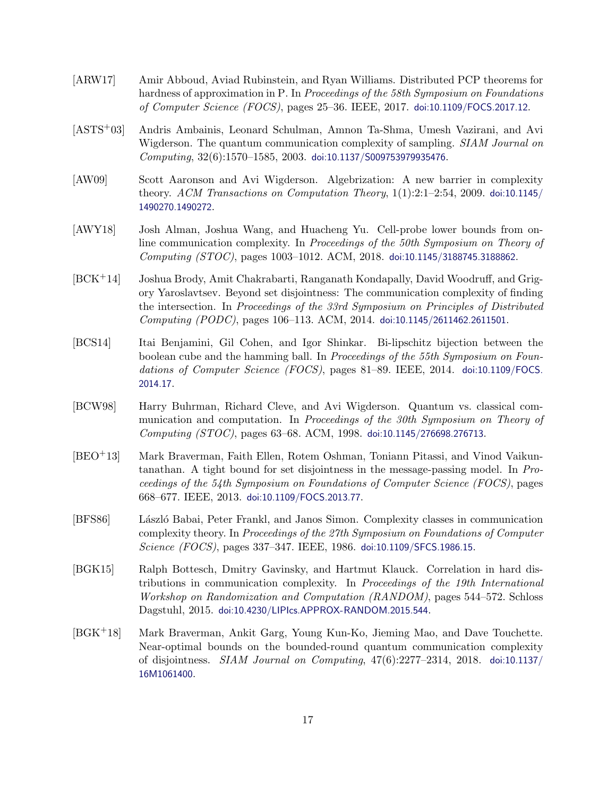- <span id="page-16-5"></span>[ARW17] Amir Abboud, Aviad Rubinstein, and Ryan Williams. Distributed PCP theorems for hardness of approximation in P. In Proceedings of the 58th Symposium on Foundations of Computer Science (FOCS), pages 25–36. IEEE, 2017. [doi:10.1109/FOCS.2017.12](http://dx.doi.org/10.1109/FOCS.2017.12).
- <span id="page-16-9"></span>[ASTS+03] Andris Ambainis, Leonard Schulman, Amnon Ta-Shma, Umesh Vazirani, and Avi Wigderson. The quantum communication complexity of sampling. SIAM Journal on  $Computing, 32(6):1570–1585, 2003.$  [doi:10.1137/S009753979935476](http://dx.doi.org/10.1137/S009753979935476).
- <span id="page-16-4"></span>[AW09] Scott Aaronson and Avi Wigderson. Algebrization: A new barrier in complexity theory. ACM Transactions on Computation Theory,  $1(1):2:1-2:54$ , 2009. [doi:10.1145/](http://dx.doi.org/10.1145/1490270.1490272) [1490270.1490272](http://dx.doi.org/10.1145/1490270.1490272).
- <span id="page-16-8"></span>[AWY18] Josh Alman, Joshua Wang, and Huacheng Yu. Cell-probe lower bounds from online communication complexity. In Proceedings of the 50th Symposium on Theory of Computing (STOC), pages 1003–1012. ACM, 2018. [doi:10.1145/3188745.3188862](http://dx.doi.org/10.1145/3188745.3188862).
- <span id="page-16-7"></span>[BCK+14] Joshua Brody, Amit Chakrabarti, Ranganath Kondapally, David Woodruff, and Grigory Yaroslavtsev. Beyond set disjointness: The communication complexity of finding the intersection. In Proceedings of the 33rd Symposium on Principles of Distributed Computing (PODC), pages 106–113. ACM, 2014. [doi:10.1145/2611462.2611501](http://dx.doi.org/10.1145/2611462.2611501).
- [BCS14] Itai Benjamini, Gil Cohen, and Igor Shinkar. Bi-lipschitz bijection between the boolean cube and the hamming ball. In Proceedings of the 55th Symposium on Foundations of Computer Science (FOCS), pages 81–89. IEEE, 2014. [doi:10.1109/FOCS.](http://dx.doi.org/10.1109/FOCS.2014.17) [2014.17](http://dx.doi.org/10.1109/FOCS.2014.17).
- <span id="page-16-2"></span>[BCW98] Harry Buhrman, Richard Cleve, and Avi Wigderson. Quantum vs. classical communication and computation. In Proceedings of the 30th Symposium on Theory of Computing (STOC), pages 63–68. ACM, 1998. [doi:10.1145/276698.276713](http://dx.doi.org/10.1145/276698.276713).
- <span id="page-16-3"></span>[BEO+13] Mark Braverman, Faith Ellen, Rotem Oshman, Toniann Pitassi, and Vinod Vaikuntanathan. A tight bound for set disjointness in the message-passing model. In Proceedings of the 54th Symposium on Foundations of Computer Science (FOCS), pages 668–677. IEEE, 2013. [doi:10.1109/FOCS.2013.77](http://dx.doi.org/10.1109/FOCS.2013.77).
- <span id="page-16-0"></span>[BFS86] L´aszl´o Babai, Peter Frankl, and Janos Simon. Complexity classes in communication complexity theory. In Proceedings of the 27th Symposium on Foundations of Computer Science (FOCS), pages 337-347. IEEE, 1986. [doi:10.1109/SFCS.1986.15](http://dx.doi.org/10.1109/SFCS.1986.15).
- <span id="page-16-1"></span>[BGK15] Ralph Bottesch, Dmitry Gavinsky, and Hartmut Klauck. Correlation in hard distributions in communication complexity. In Proceedings of the 19th International Workshop on Randomization and Computation (RANDOM), pages 544–572. Schloss Dagstuhl, 2015. [doi:10.4230/LIPIcs.APPROX-RANDOM.2015.544](http://dx.doi.org/10.4230/LIPIcs.APPROX-RANDOM.2015.544).
- <span id="page-16-6"></span>[BGK+18] Mark Braverman, Ankit Garg, Young Kun-Ko, Jieming Mao, and Dave Touchette. Near-optimal bounds on the bounded-round quantum communication complexity of disjointness. SIAM Journal on Computing, 47(6):2277–2314, 2018. [doi:10.1137/](http://dx.doi.org/10.1137/16M1061400) [16M1061400](http://dx.doi.org/10.1137/16M1061400).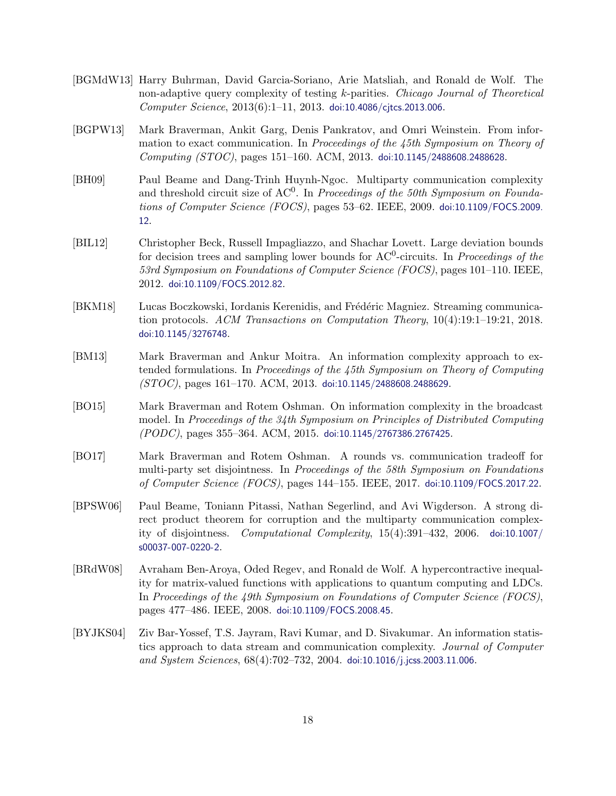- <span id="page-17-5"></span>[BGMdW13] Harry Buhrman, David Garcia-Soriano, Arie Matsliah, and Ronald de Wolf. The non-adaptive query complexity of testing k-parities. Chicago Journal of Theoretical  $Computer\, Science, 2013(6):1-11, 2013. \text{ doi: }10.4086/c \text{j} \text{tcs}.2013.006.$
- <span id="page-17-6"></span>[BGPW13] Mark Braverman, Ankit Garg, Denis Pankratov, and Omri Weinstein. From information to exact communication. In Proceedings of the 45th Symposium on Theory of Computing (STOC), pages 151–160. ACM, 2013. [doi:10.1145/2488608.2488628](http://dx.doi.org/10.1145/2488608.2488628).
- <span id="page-17-3"></span>[BH09] Paul Beame and Dang-Trinh Huynh-Ngoc. Multiparty communication complexity and threshold circuit size of  $AC^0$ . In Proceedings of the 50th Symposium on Foundations of Computer Science (FOCS), pages 53–62. IEEE, 2009. [doi:10.1109/FOCS.2009.](http://dx.doi.org/10.1109/FOCS.2009.12) [12](http://dx.doi.org/10.1109/FOCS.2009.12).
- <span id="page-17-10"></span>[BIL12] Christopher Beck, Russell Impagliazzo, and Shachar Lovett. Large deviation bounds for decision trees and sampling lower bounds for  $AC^0$ -circuits. In *Proceedings of the* 53rd Symposium on Foundations of Computer Science (FOCS), pages 101–110. IEEE, 2012. [doi:10.1109/FOCS.2012.82](http://dx.doi.org/10.1109/FOCS.2012.82).
- <span id="page-17-8"></span>[BKM18] Lucas Boczkowski, Iordanis Kerenidis, and Frédéric Magniez. Streaming communication protocols. ACM Transactions on Computation Theory, 10(4):19:1–19:21, 2018. [doi:10.1145/3276748](http://dx.doi.org/10.1145/3276748).
- <span id="page-17-7"></span>[BM13] Mark Braverman and Ankur Moitra. An information complexity approach to extended formulations. In Proceedings of the 45th Symposium on Theory of Computing  $(STOC)$ , pages 161–170. ACM, 2013. [doi:10.1145/2488608.2488629](http://dx.doi.org/10.1145/2488608.2488629).
- <span id="page-17-1"></span>[BO15] Mark Braverman and Rotem Oshman. On information complexity in the broadcast model. In Proceedings of the 34th Symposium on Principles of Distributed Computing (PODC), pages 355–364. ACM, 2015. [doi:10.1145/2767386.2767425](http://dx.doi.org/10.1145/2767386.2767425).
- <span id="page-17-4"></span>[BO17] Mark Braverman and Rotem Oshman. A rounds vs. communication tradeoff for multi-party set disjointness. In Proceedings of the 58th Symposium on Foundations of Computer Science (FOCS), pages 144–155. IEEE, 2017. [doi:10.1109/FOCS.2017.22](http://dx.doi.org/10.1109/FOCS.2017.22).
- <span id="page-17-2"></span>[BPSW06] Paul Beame, Toniann Pitassi, Nathan Segerlind, and Avi Wigderson. A strong direct product theorem for corruption and the multiparty communication complexity of disjointness. Computational Complexity, 15(4):391–432, 2006. [doi:10.1007/](http://dx.doi.org/10.1007/s00037-007-0220-2) [s00037-007-0220-2](http://dx.doi.org/10.1007/s00037-007-0220-2).
- <span id="page-17-9"></span>[BRdW08] Avraham Ben-Aroya, Oded Regev, and Ronald de Wolf. A hypercontractive inequality for matrix-valued functions with applications to quantum computing and LDCs. In Proceedings of the 49th Symposium on Foundations of Computer Science (FOCS), pages 477–486. IEEE, 2008. [doi:10.1109/FOCS.2008.45](http://dx.doi.org/10.1109/FOCS.2008.45).
- <span id="page-17-0"></span>[BYJKS04] Ziv Bar-Yossef, T.S. Jayram, Ravi Kumar, and D. Sivakumar. An information statistics approach to data stream and communication complexity. Journal of Computer and System Sciences, 68(4):702–732, 2004. [doi:10.1016/j.jcss.2003.11.006](http://dx.doi.org/10.1016/j.jcss.2003.11.006).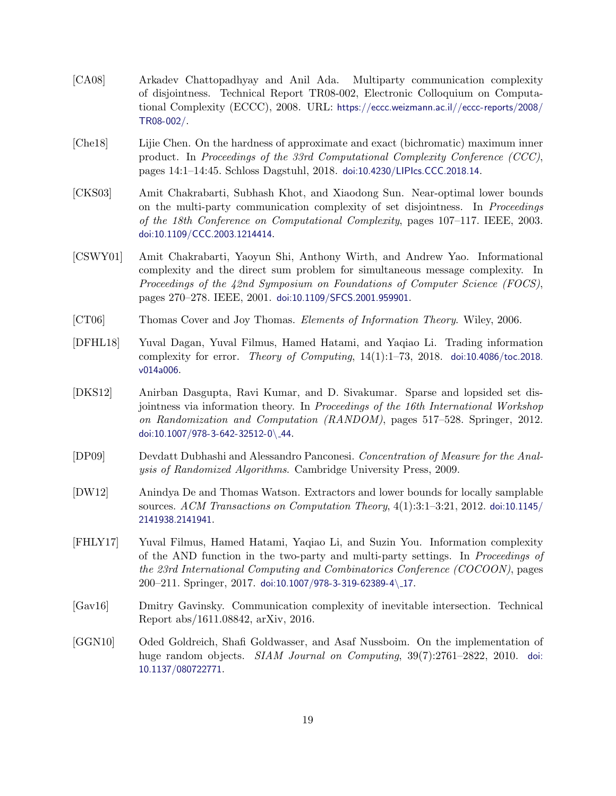- <span id="page-18-1"></span>[CA08] Arkadev Chattopadhyay and Anil Ada. Multiparty communication complexity of disjointness. Technical Report TR08-002, Electronic Colloquium on Computational Complexity (ECCC), 2008. URL: [https://eccc.weizmann.ac.il//eccc-reports/2008/](https://eccc.weizmann.ac.il//eccc-reports/2008/TR08-002/) [TR08-002/](https://eccc.weizmann.ac.il//eccc-reports/2008/TR08-002/).
- <span id="page-18-2"></span>[Che18] Lijie Chen. On the hardness of approximate and exact (bichromatic) maximum inner product. In Proceedings of the 33rd Computational Complexity Conference (CCC), pages 14:1–14:45. Schloss Dagstuhl, 2018. [doi:10.4230/LIPIcs.CCC.2018.14](http://dx.doi.org/10.4230/LIPIcs.CCC.2018.14).
- <span id="page-18-0"></span>[CKS03] Amit Chakrabarti, Subhash Khot, and Xiaodong Sun. Near-optimal lower bounds on the multi-party communication complexity of set disjointness. In Proceedings of the 18th Conference on Computational Complexity, pages 107–117. IEEE, 2003. [doi:10.1109/CCC.2003.1214414](http://dx.doi.org/10.1109/CCC.2003.1214414).
- <span id="page-18-8"></span>[CSWY01] Amit Chakrabarti, Yaoyun Shi, Anthony Wirth, and Andrew Yao. Informational complexity and the direct sum problem for simultaneous message complexity. In Proceedings of the 42nd Symposium on Foundations of Computer Science (FOCS), pages 270–278. IEEE, 2001. [doi:10.1109/SFCS.2001.959901](http://dx.doi.org/10.1109/SFCS.2001.959901).
- <span id="page-18-9"></span>[CT06] Thomas Cover and Joy Thomas. Elements of Information Theory. Wiley, 2006.
- <span id="page-18-5"></span>[DFHL18] Yuval Dagan, Yuval Filmus, Hamed Hatami, and Yaqiao Li. Trading information complexity for error. *Theory of Computing*,  $14(1):1-73$ ,  $2018$ . [doi:10.4086/toc.2018.](http://dx.doi.org/10.4086/toc.2018.v014a006) [v014a006](http://dx.doi.org/10.4086/toc.2018.v014a006).
- <span id="page-18-3"></span>[DKS12] Anirban Dasgupta, Ravi Kumar, and D. Sivakumar. Sparse and lopsided set disjointness via information theory. In Proceedings of the 16th International Workshop on Randomization and Computation (RANDOM), pages 517–528. Springer, 2012. [doi:10.1007/978-3-642-32512-0](http://dx.doi.org/10.1007/978-3-642-32512-0_44)\ 44.
- <span id="page-18-10"></span>[DP09] Devdatt Dubhashi and Alessandro Panconesi. Concentration of Measure for the Analysis of Randomized Algorithms. Cambridge University Press, 2009.
- <span id="page-18-7"></span>[DW12] Anindya De and Thomas Watson. Extractors and lower bounds for locally samplable sources. ACM Transactions on Computation Theory, 4(1):3:1–3:21, 2012. [doi:10.1145/](http://dx.doi.org/10.1145/2141938.2141941) [2141938.2141941](http://dx.doi.org/10.1145/2141938.2141941).
- <span id="page-18-4"></span>[FHLY17] Yuval Filmus, Hamed Hatami, Yaqiao Li, and Suzin You. Information complexity of the AND function in the two-party and multi-party settings. In Proceedings of the 23rd International Computing and Combinatorics Conference (COCOON), pages 200–211. Springer, 2017. [doi:10.1007/978-3-319-62389-4](http://dx.doi.org/10.1007/978-3-319-62389-4_17)\ 17.
- <span id="page-18-6"></span>[Gav16] Dmitry Gavinsky. Communication complexity of inevitable intersection. Technical Report abs/1611.08842, arXiv, 2016.
- [GGN10] Oded Goldreich, Shafi Goldwasser, and Asaf Nussboim. On the implementation of huge random objects. *SIAM Journal on Computing*, 39(7):2761–2822, 2010. [doi:](http://dx.doi.org/10.1137/080722771) [10.1137/080722771](http://dx.doi.org/10.1137/080722771).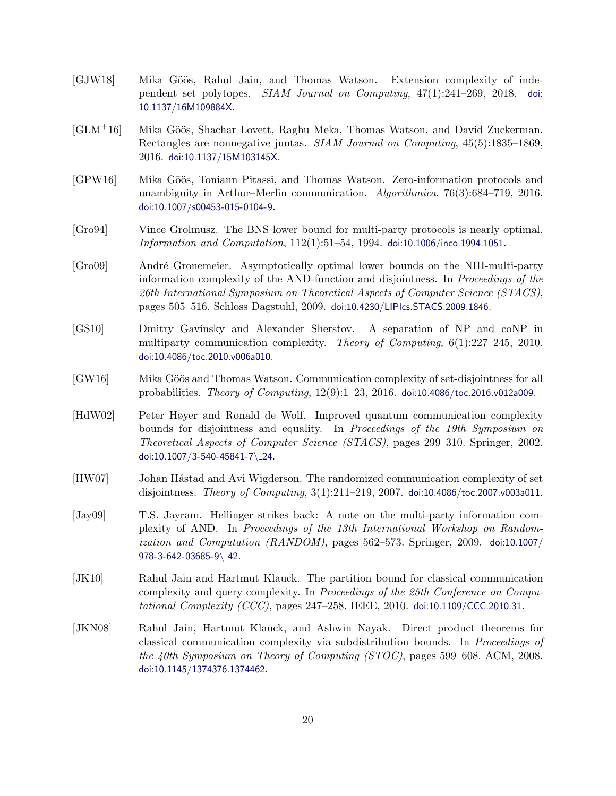- <span id="page-19-11"></span>[GJW18] Mika Göös, Rahul Jain, and Thomas Watson. Extension complexity of independent set polytopes. SIAM Journal on Computing, 47(1):241–269, 2018. [doi:](http://dx.doi.org/10.1137/16M109884X) [10.1137/16M109884X](http://dx.doi.org/10.1137/16M109884X).
- <span id="page-19-10"></span>[GLM<sup>+</sup>16] Mika Göös, Shachar Lovett, Raghu Meka, Thomas Watson, and David Zuckerman. Rectangles are nonnegative juntas. SIAM Journal on Computing, 45(5):1835–1869, 2016. [doi:10.1137/15M103145X](http://dx.doi.org/10.1137/15M103145X).
- <span id="page-19-6"></span>[GPW16] Mika Göös, Toniann Pitassi, and Thomas Watson. Zero-information protocols and unambiguity in Arthur–Merlin communication. Algorithmica, 76(3):684–719, 2016. [doi:10.1007/s00453-015-0104-9](http://dx.doi.org/10.1007/s00453-015-0104-9).
- <span id="page-19-3"></span>[Gro94] Vince Grolmusz. The BNS lower bound for multi-party protocols is nearly optimal. Information and Computation, 112(1):51–54, 1994. [doi:10.1006/inco.1994.1051](http://dx.doi.org/10.1006/inco.1994.1051).
- <span id="page-19-1"></span>[Gro09] Andr´e Gronemeier. Asymptotically optimal lower bounds on the NIH-multi-party information complexity of the AND-function and disjointness. In Proceedings of the 26th International Symposium on Theoretical Aspects of Computer Science (STACS), pages 505–516. Schloss Dagstuhl, 2009. [doi:10.4230/LIPIcs.STACS.2009.1846](http://dx.doi.org/10.4230/LIPIcs.STACS.2009.1846).
- <span id="page-19-4"></span>[GS10] Dmitry Gavinsky and Alexander Sherstov. A separation of NP and coNP in multiparty communication complexity. Theory of Computing, 6(1):227–245, 2010. [doi:10.4086/toc.2010.v006a010](http://dx.doi.org/10.4086/toc.2010.v006a010).
- <span id="page-19-5"></span>[GW16] Mika Göös and Thomas Watson. Communication complexity of set-disjointness for all probabilities. Theory of Computing, 12(9):1–23, 2016. [doi:10.4086/toc.2016.v012a009](http://dx.doi.org/10.4086/toc.2016.v012a009).
- <span id="page-19-0"></span>[HdW02] Peter Høyer and Ronald de Wolf. Improved quantum communication complexity bounds for disjointness and equality. In Proceedings of the 19th Symposium on Theoretical Aspects of Computer Science (STACS), pages 299–310. Springer, 2002. [doi:10.1007/3-540-45841-7](http://dx.doi.org/10.1007/3-540-45841-7_24)\ 24.
- <span id="page-19-7"></span>[HW07] Johan Håstad and Avi Wigderson. The randomized communication complexity of set disjointness. Theory of Computing, 3(1):211–219, 2007. [doi:10.4086/toc.2007.v003a011](http://dx.doi.org/10.4086/toc.2007.v003a011).
- <span id="page-19-2"></span>[Jay09] T.S. Jayram. Hellinger strikes back: A note on the multi-party information complexity of AND. In Proceedings of the 13th International Workshop on Randomization and Computation (RANDOM), pages 562–573. Springer, 2009. [doi:10.1007/](http://dx.doi.org/10.1007/978-3-642-03685-9_42) [978-3-642-03685-9](http://dx.doi.org/10.1007/978-3-642-03685-9_42)\ 42.
- <span id="page-19-9"></span>[JK10] Rahul Jain and Hartmut Klauck. The partition bound for classical communication complexity and query complexity. In Proceedings of the 25th Conference on Computational Complexity (CCC), pages  $247-258$ . IEEE,  $2010$ . [doi:10.1109/CCC.2010.31](http://dx.doi.org/10.1109/CCC.2010.31).
- <span id="page-19-8"></span>[JKN08] Rahul Jain, Hartmut Klauck, and Ashwin Nayak. Direct product theorems for classical communication complexity via subdistribution bounds. In Proceedings of the 40th Symposium on Theory of Computing  $(TOC)$ , pages 599–608. ACM, 2008. [doi:10.1145/1374376.1374462](http://dx.doi.org/10.1145/1374376.1374462).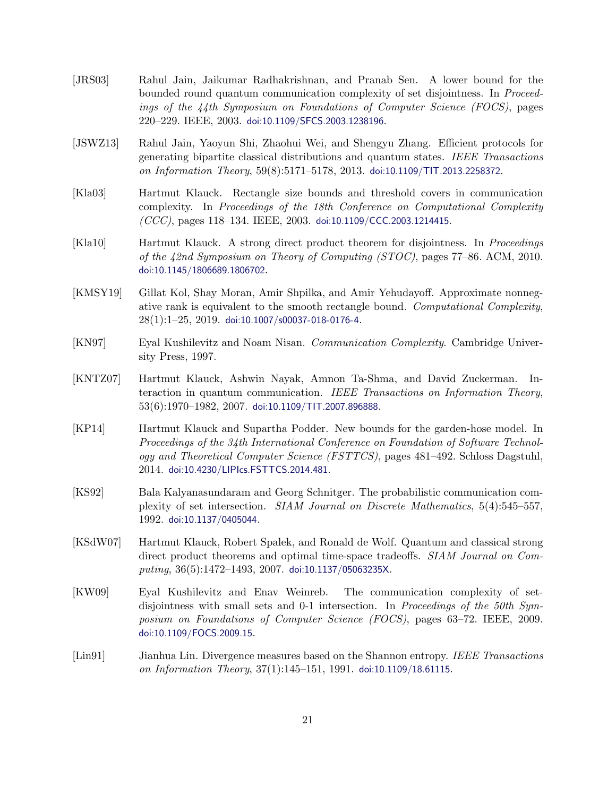- <span id="page-20-3"></span>[JRS03] Rahul Jain, Jaikumar Radhakrishnan, and Pranab Sen. A lower bound for the bounded round quantum communication complexity of set disjointness. In Proceedings of the 44th Symposium on Foundations of Computer Science (FOCS), pages 220–229. IEEE, 2003. [doi:10.1109/SFCS.2003.1238196](http://dx.doi.org/10.1109/SFCS.2003.1238196).
- [JSWZ13] Rahul Jain, Yaoyun Shi, Zhaohui Wei, and Shengyu Zhang. Efficient protocols for generating bipartite classical distributions and quantum states. IEEE Transactions on Information Theory, 59(8):5171–5178, 2013. [doi:10.1109/TIT.2013.2258372](http://dx.doi.org/10.1109/TIT.2013.2258372).
- <span id="page-20-1"></span>[Kla03] Hartmut Klauck. Rectangle size bounds and threshold covers in communication complexity. In Proceedings of the 18th Conference on Computational Complexity  $(CCC)$ , pages 118–134. IEEE, 2003. [doi:10.1109/CCC.2003.1214415](http://dx.doi.org/10.1109/CCC.2003.1214415).
- <span id="page-20-7"></span>[Kla10] Hartmut Klauck. A strong direct product theorem for disjointness. In Proceedings of the 42nd Symposium on Theory of Computing (STOC), pages 77–86. ACM, 2010. [doi:10.1145/1806689.1806702](http://dx.doi.org/10.1145/1806689.1806702).
- <span id="page-20-8"></span>[KMSY19] Gillat Kol, Shay Moran, Amir Shpilka, and Amir Yehudayoff. Approximate nonnegative rank is equivalent to the smooth rectangle bound. Computational Complexity,  $28(1):1-25$ ,  $2019$ . [doi:10.1007/s00037-018-0176-4](http://dx.doi.org/10.1007/s00037-018-0176-4).
- <span id="page-20-9"></span>[KN97] Eyal Kushilevitz and Noam Nisan. Communication Complexity. Cambridge University Press, 1997.
- <span id="page-20-2"></span>[KNTZ07] Hartmut Klauck, Ashwin Nayak, Amnon Ta-Shma, and David Zuckerman. Interaction in quantum communication. IEEE Transactions on Information Theory,  $53(6):1970-1982, 2007.$  [doi:10.1109/TIT.2007.896888](http://dx.doi.org/10.1109/TIT.2007.896888).
- <span id="page-20-5"></span>[KP14] Hartmut Klauck and Supartha Podder. New bounds for the garden-hose model. In Proceedings of the 34th International Conference on Foundation of Software Technology and Theoretical Computer Science (FSTTCS), pages 481–492. Schloss Dagstuhl, 2014. [doi:10.4230/LIPIcs.FSTTCS.2014.481](http://dx.doi.org/10.4230/LIPIcs.FSTTCS.2014.481).
- <span id="page-20-0"></span>[KS92] Bala Kalyanasundaram and Georg Schnitger. The probabilistic communication complexity of set intersection. SIAM Journal on Discrete Mathematics, 5(4):545–557, 1992. [doi:10.1137/0405044](http://dx.doi.org/10.1137/0405044).
- <span id="page-20-6"></span>[KSdW07] Hartmut Klauck, Robert Spalek, and Ronald de Wolf. Quantum and classical strong direct product theorems and optimal time-space tradeoffs. SIAM Journal on Computing,  $36(5):1472-1493$ ,  $2007.$  [doi:10.1137/05063235X](http://dx.doi.org/10.1137/05063235X).
- <span id="page-20-4"></span>[KW09] Eyal Kushilevitz and Enav Weinreb. The communication complexity of setdisjointness with small sets and 0-1 intersection. In Proceedings of the 50th Symposium on Foundations of Computer Science (FOCS), pages 63–72. IEEE, 2009. [doi:10.1109/FOCS.2009.15](http://dx.doi.org/10.1109/FOCS.2009.15).
- <span id="page-20-10"></span>[Lin91] Jianhua Lin. Divergence measures based on the Shannon entropy. IEEE Transactions on Information Theory, 37(1):145–151, 1991. [doi:10.1109/18.61115](http://dx.doi.org/10.1109/18.61115).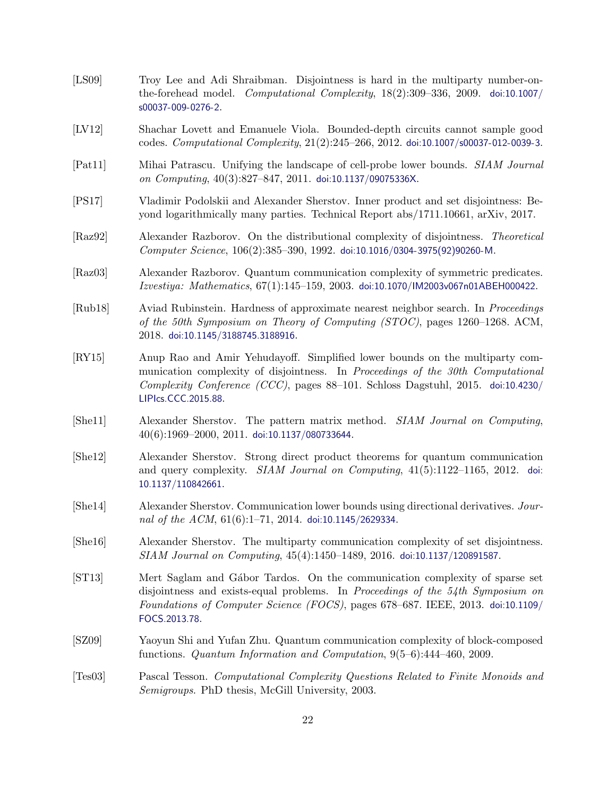- <span id="page-21-5"></span>[LS09] Troy Lee and Adi Shraibman. Disjointness is hard in the multiparty number-onthe-forehead model. Computational Complexity, 18(2):309–336, 2009. [doi:10.1007/](http://dx.doi.org/10.1007/s00037-009-0276-2) [s00037-009-0276-2](http://dx.doi.org/10.1007/s00037-009-0276-2).
- [LV12] Shachar Lovett and Emanuele Viola. Bounded-depth circuits cannot sample good codes. Computational Complexity, 21(2):245–266, 2012. [doi:10.1007/s00037-012-0039-3](http://dx.doi.org/10.1007/s00037-012-0039-3).
- <span id="page-21-11"></span>[Pat11] Mihai Patrascu. Unifying the landscape of cell-probe lower bounds. SIAM Journal on Computing, 40(3):827–847, 2011. [doi:10.1137/09075336X](http://dx.doi.org/10.1137/09075336X).
- <span id="page-21-9"></span>[PS17] Vladimir Podolskii and Alexander Sherstov. Inner product and set disjointness: Beyond logarithmically many parties. Technical Report abs/1711.10661, arXiv, 2017.
- <span id="page-21-0"></span>[Raz92] Alexander Razborov. On the distributional complexity of disjointness. Theoretical Computer Science, 106(2):385–390, 1992. [doi:10.1016/0304-3975\(92\)90260-M](http://dx.doi.org/10.1016/0304-3975(92)90260-M).
- <span id="page-21-1"></span>[Raz03] Alexander Razborov. Quantum communication complexity of symmetric predicates. Izvestiya: Mathematics, 67(1):145–159, 2003. [doi:10.1070/IM2003v067n01ABEH000422](http://dx.doi.org/10.1070/IM2003v067n01ABEH000422).
- <span id="page-21-10"></span>[Rub18] Aviad Rubinstein. Hardness of approximate nearest neighbor search. In Proceedings of the 50th Symposium on Theory of Computing (STOC), pages 1260–1268. ACM, 2018. [doi:10.1145/3188745.3188916](http://dx.doi.org/10.1145/3188745.3188916).
- <span id="page-21-8"></span>[RY15] Anup Rao and Amir Yehudayoff. Simplified lower bounds on the multiparty communication complexity of disjointness. In Proceedings of the 30th Computational Complexity Conference (CCC), pages 88–101. Schloss Dagstuhl, 2015. [doi:10.4230/](http://dx.doi.org/10.4230/LIPIcs.CCC.2015.88) [LIPIcs.CCC.2015.88](http://dx.doi.org/10.4230/LIPIcs.CCC.2015.88).
- <span id="page-21-2"></span>[She11] Alexander Sherstov. The pattern matrix method. SIAM Journal on Computing, 40(6):1969–2000, 2011. [doi:10.1137/080733644](http://dx.doi.org/10.1137/080733644).
- <span id="page-21-13"></span>[She12] Alexander Sherstov. Strong direct product theorems for quantum communication and query complexity. SIAM Journal on Computing, 41(5):1122–1165, 2012. [doi:](http://dx.doi.org/10.1137/110842661) [10.1137/110842661](http://dx.doi.org/10.1137/110842661).
- <span id="page-21-7"></span>[She14] Alexander Sherstov. Communication lower bounds using directional derivatives. Journal of the ACM,  $61(6):1-71$ ,  $2014$ . [doi:10.1145/2629334](http://dx.doi.org/10.1145/2629334).
- <span id="page-21-6"></span>[She16] Alexander Sherstov. The multiparty communication complexity of set disjointness. SIAM Journal on Computing, 45(4):1450–1489, 2016. [doi:10.1137/120891587](http://dx.doi.org/10.1137/120891587).
- <span id="page-21-12"></span>[ST13] Mert Saglam and G´abor Tardos. On the communication complexity of sparse set disjointness and exists-equal problems. In Proceedings of the 54th Symposium on Foundations of Computer Science (FOCS), pages 678–687. IEEE, 2013. [doi:10.1109/](http://dx.doi.org/10.1109/FOCS.2013.78) [FOCS.2013.78](http://dx.doi.org/10.1109/FOCS.2013.78).
- <span id="page-21-3"></span>[SZ09] Yaoyun Shi and Yufan Zhu. Quantum communication complexity of block-composed functions. Quantum Information and Computation, 9(5–6):444–460, 2009.
- <span id="page-21-4"></span>[Tes03] Pascal Tesson. Computational Complexity Questions Related to Finite Monoids and Semigroups. PhD thesis, McGill University, 2003.